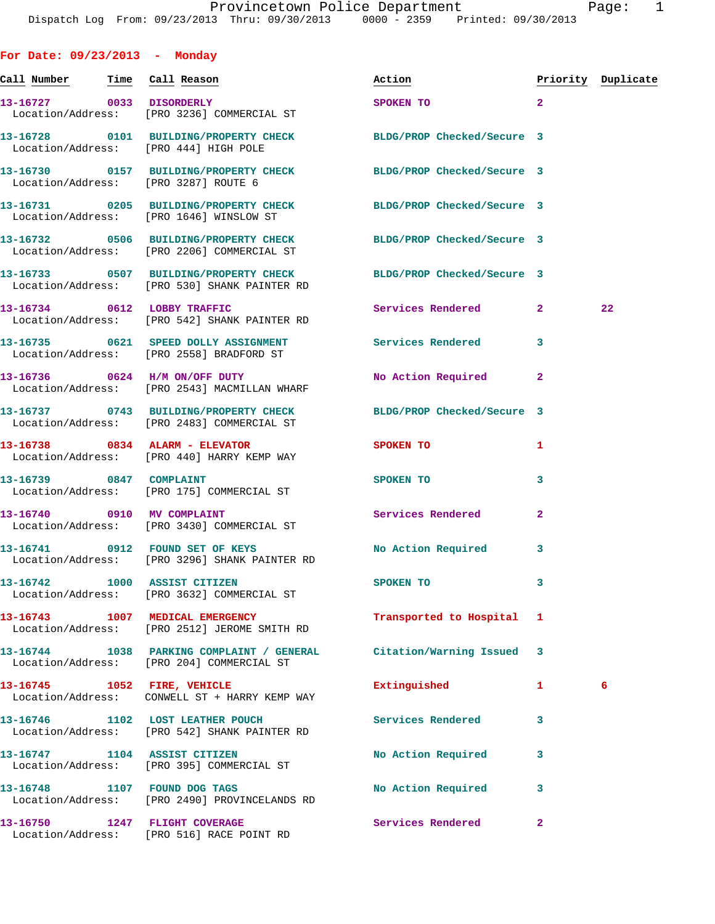**For Date: 09/23/2013 - Monday Call Number Time Call Reason Action Priority Duplicate 13-16727 0033 DISORDERLY SPOKEN TO 2**  Location/Address: [PRO 3236] COMMERCIAL ST **13-16728 0101 BUILDING/PROPERTY CHECK BLDG/PROP Checked/Secure 3**  Location/Address: [PRO 444] HIGH POLE **13-16730 0157 BUILDING/PROPERTY CHECK BLDG/PROP Checked/Secure 3**  Location/Address: [PRO 3287] ROUTE 6 **13-16731 0205 BUILDING/PROPERTY CHECK BLDG/PROP Checked/Secure 3**  Location/Address: [PRO 1646] WINSLOW ST **13-16732 0506 BUILDING/PROPERTY CHECK BLDG/PROP Checked/Secure 3**  Location/Address: [PRO 2206] COMMERCIAL ST **13-16733 0507 BUILDING/PROPERTY CHECK BLDG/PROP Checked/Secure 3**  Location/Address: [PRO 530] SHANK PAINTER RD **13-16734 0612 LOBBY TRAFFIC Services Rendered 2 22**  Location/Address: [PRO 542] SHANK PAINTER RD **13-16735 0621 SPEED DOLLY ASSIGNMENT Services Rendered 3**  Location/Address: [PRO 2558] BRADFORD ST 13-16736 0624 H/M ON/OFF DUTY No Action Required 2 Location/Address: [PRO 2543] MACMILLAN WHARF **13-16737 0743 BUILDING/PROPERTY CHECK BLDG/PROP Checked/Secure 3**  Location/Address: [PRO 2483] COMMERCIAL ST **13-16738 0834 ALARM - ELEVATOR SPOKEN TO 1**  Location/Address: [PRO 440] HARRY KEMP WAY **13-16739 0847 COMPLAINT SPOKEN TO 3**  Location/Address: [PRO 175] COMMERCIAL ST 13-16740 0910 MV COMPLAINT **Services Rendered** 2 Location/Address: [PRO 3430] COMMERCIAL ST 13-16741 0912 FOUND SET OF KEYS No Action Required 3 Location/Address: [PRO 3296] SHANK PAINTER RD **13-16742 1000 ASSIST CITIZEN SPOKEN TO 3**  Location/Address: [PRO 3632] COMMERCIAL ST **13-16743 1007 MEDICAL EMERGENCY Transported to Hospital 1**  Location/Address: [PRO 2512] JEROME SMITH RD **13-16744 1038 PARKING COMPLAINT / GENERAL Citation/Warning Issued 3**  Location/Address: [PRO 204] COMMERCIAL ST **13-16745 1052 FIRE, VEHICLE Extinguished 1 6**  Location/Address: CONWELL ST + HARRY KEMP WAY **13-16746 1102 LOST LEATHER POUCH Services Rendered 3**  Location/Address: [PRO 542] SHANK PAINTER RD **13-16747 1104 ASSIST CITIZEN No Action Required 3**  Location/Address: [PRO 395] COMMERCIAL ST 13-16748 1107 FOUND DOG TAGS No Action Required 3

**13-16750 1247 FLIGHT COVERAGE Services Rendered 2**  Location/Address: [PRO 516] RACE POINT RD

Location/Address: [PRO 2490] PROVINCELANDS RD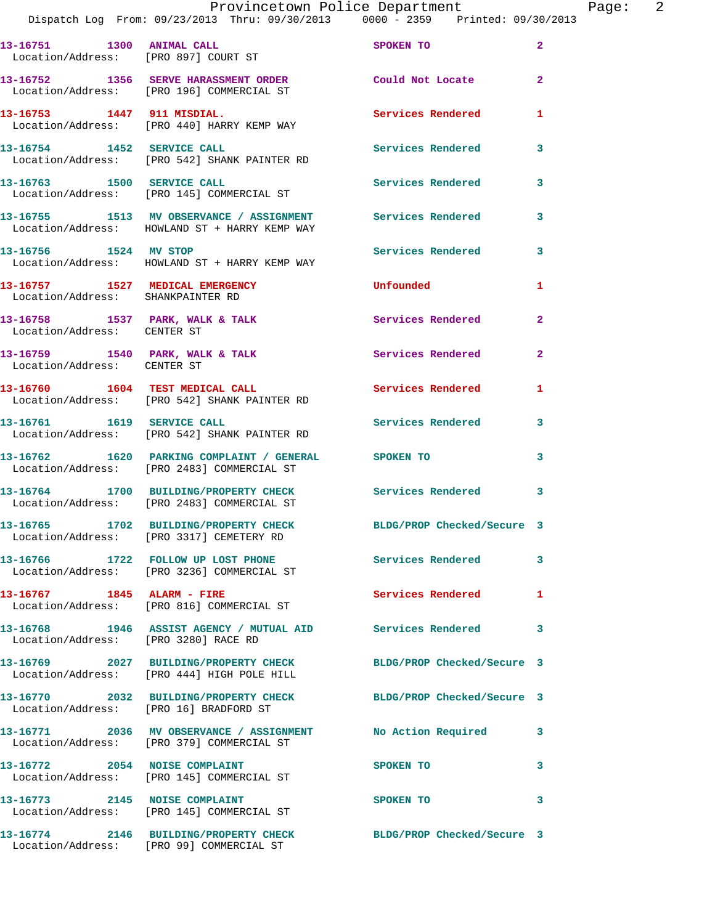|                                        | Provincetown Police Department The Page: 2<br>Dispatch Log From: 09/23/2013 Thru: 09/30/2013 0000 - 2359 Printed: 09/30/2013 |                            |                |
|----------------------------------------|------------------------------------------------------------------------------------------------------------------------------|----------------------------|----------------|
|                                        | 13-16751 1300 ANIMAL CALL<br>Location/Address: [PRO 897] COURT ST                                                            | SPOKEN TO                  | $\mathbf{2}$   |
|                                        | 13-16752 1356 SERVE HARASSMENT ORDER Could Not Locate<br>Location/Address: [PRO 196] COMMERCIAL ST                           |                            | $\mathbf{2}$   |
|                                        | 13-16753 1447 911 MISDIAL.<br>Location/Address: [PRO 440] HARRY KEMP WAY                                                     | Services Rendered          | 1              |
|                                        | 13-16754 1452 SERVICE CALL<br>Location/Address: [PRO 542] SHANK PAINTER RD                                                   | Services Rendered          | 3              |
|                                        | 13-16763 1500 SERVICE CALL<br>Location/Address: [PRO 145] COMMERCIAL ST                                                      | Services Rendered          | $\mathbf{3}$   |
|                                        | 13-16755 1513 MV OBSERVANCE / ASSIGNMENT Services Rendered<br>Location/Address: HOWLAND ST + HARRY KEMP WAY                  |                            | 3              |
|                                        | 13-16756 1524 MV STOP<br>Location/Address: HOWLAND ST + HARRY KEMP WAY                                                       | Services Rendered 3        |                |
| Location/Address: SHANKPAINTER RD      | 13-16757 1527 MEDICAL EMERGENCY                                                                                              | Unfounded                  | 1              |
| Location/Address: CENTER ST            | 13-16758 1537 PARK, WALK & TALK 1988 Services Rendered                                                                       |                            | $\overline{2}$ |
| Location/Address: CENTER ST            | 13-16759 1540 PARK, WALK & TALK 1999 Services Rendered                                                                       |                            | $\mathbf{2}$   |
|                                        | 13-16760 1604 TEST MEDICAL CALL 1 Services Rendered 1<br>Location/Address: [PRO 542] SHANK PAINTER RD                        |                            |                |
|                                        | 13-16761 1619 SERVICE CALL<br>Location/Address: [PRO 542] SHANK PAINTER RD                                                   | Services Rendered          | 3              |
|                                        | 13-16762 1620 PARKING COMPLAINT / GENERAL SPOKEN TO<br>Location/Address: [PRO 2483] COMMERCIAL ST                            |                            | 3              |
|                                        | 13-16764 1700 BUILDING/PROPERTY CHECK Services Rendered 3<br>Location/Address: [PRO 2483] COMMERCIAL ST                      |                            |                |
|                                        | 13-16765 1702 BUILDING/PROPERTY CHECK<br>Location/Address: [PRO 3317] CEMETERY RD                                            | BLDG/PROP Checked/Secure 3 |                |
|                                        | 13-16766 1722 FOLLOW UP LOST PHONE Services Rendered<br>Location/Address: [PRO 3236] COMMERCIAL ST                           |                            | 3              |
|                                        | 13-16767 1845 ALARM - FIRE<br>Location/Address: [PRO 816] COMMERCIAL ST                                                      | Services Rendered          | 1              |
| Location/Address: [PRO 3280] RACE RD   | 13-16768 1946 ASSIST AGENCY / MUTUAL AID Services Rendered                                                                   |                            | 3              |
|                                        | 13-16769 2027 BUILDING/PROPERTY CHECK BLDG/PROP Checked/Secure 3<br>Location/Address: [PRO 444] HIGH POLE HILL               |                            |                |
| Location/Address: [PRO 16] BRADFORD ST | 13-16770 2032 BUILDING/PROPERTY CHECK BLDG/PROP Checked/Secure 3                                                             |                            |                |
|                                        | 13-16771 2036 MV OBSERVANCE / ASSIGNMENT No Action Required 3<br>Location/Address: [PRO 379] COMMERCIAL ST                   |                            |                |
|                                        | 13-16772 2054 NOISE COMPLAINT<br>Location/Address: [PRO 145] COMMERCIAL ST                                                   | SPOKEN TO                  | 3              |
| 13-16773 2145 NOISE COMPLAINT          | Location/Address: [PRO 145] COMMERCIAL ST                                                                                    | SPOKEN TO                  | 3              |
|                                        | 13-16774 2146 BUILDING/PROPERTY CHECK BLDG/PROP Checked/Secure 3                                                             |                            |                |

Location/Address: [PRO 99] COMMERCIAL ST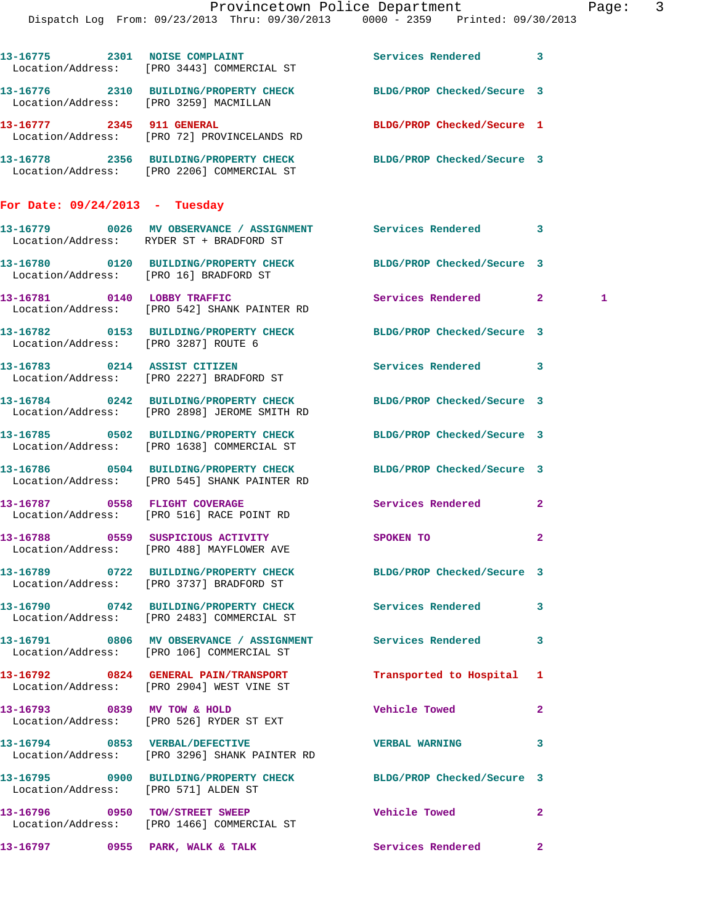|                                        |                                                                                                                  | Provincetown Police Department<br>Dispatch Log From: 09/23/2013 Thru: 09/30/2013 0000 - 2359 Printed: 09/30/2013 | Page: | $\overline{\mathbf{3}}$ |
|----------------------------------------|------------------------------------------------------------------------------------------------------------------|------------------------------------------------------------------------------------------------------------------|-------|-------------------------|
|                                        |                                                                                                                  |                                                                                                                  |       |                         |
|                                        | 13-16775 2301 NOISE COMPLAINT<br>Location/Address: [PRO 3443] COMMERCIAL ST                                      | Services Rendered 3                                                                                              |       |                         |
|                                        | 13-16776 2310 BUILDING/PROPERTY CHECK BLDG/PROP Checked/Secure 3<br>Location/Address: [PRO 3259] MACMILLAN       |                                                                                                                  |       |                         |
|                                        | 13-16777 2345 911 GENERAL<br>Location/Address: [PRO 72] PROVINCELANDS RD                                         | BLDG/PROP Checked/Secure 1                                                                                       |       |                         |
|                                        | 13-16778 2356 BUILDING/PROPERTY CHECK BLDG/PROP Checked/Secure 3<br>Location/Address: [PRO 2206] COMMERCIAL ST   |                                                                                                                  |       |                         |
| For Date: $09/24/2013$ - Tuesday       |                                                                                                                  |                                                                                                                  |       |                         |
|                                        | 13-16779 0026 MV OBSERVANCE / ASSIGNMENT Services Rendered 3<br>Location/Address: RYDER ST + BRADFORD ST         |                                                                                                                  |       |                         |
| Location/Address: [PRO 16] BRADFORD ST | 13-16780 0120 BUILDING/PROPERTY CHECK                                                                            | BLDG/PROP Checked/Secure 3                                                                                       |       |                         |
|                                        | 13-16781 0140 LOBBY TRAFFIC<br>Location/Address: [PRO 542] SHANK PAINTER RD                                      | Services Rendered 2                                                                                              | 1     |                         |
|                                        | 13-16782 0153 BUILDING/PROPERTY CHECK BLDG/PROP Checked/Secure 3<br>Location/Address: [PRO 3287] ROUTE 6         |                                                                                                                  |       |                         |
|                                        | 13-16783 0214 ASSIST CITIZEN<br>Location/Address: [PRO 2227] BRADFORD ST                                         | Services Rendered 3                                                                                              |       |                         |
|                                        | 13-16784 0242 BUILDING/PROPERTY CHECK BLDG/PROP Checked/Secure 3<br>Location/Address: [PRO 2898] JEROME SMITH RD |                                                                                                                  |       |                         |
|                                        | 13-16785 0502 BUILDING/PROPERTY CHECK<br>Location/Address: [PRO 1638] COMMERCIAL ST                              | BLDG/PROP Checked/Secure 3                                                                                       |       |                         |
|                                        | 13-16786 0504 BUILDING/PROPERTY CHECK BLDG/PROP Checked/Secure 3<br>Location/Address: [PRO 545] SHANK PAINTER RD |                                                                                                                  |       |                         |
| 13-16787 0558 FLIGHT COVERAGE          | Location/Address: [PRO 516] RACE POINT RD                                                                        | Services Rendered 2                                                                                              |       |                         |
|                                        | 13-16788 0559 SUSPICIOUS ACTIVITY<br>Location/Address: [PRO 488] MAYFLOWER AVE                                   | $\mathbf{2}$<br>SPOKEN TO                                                                                        |       |                         |
|                                        | 13-16789 0722 BUILDING/PROPERTY CHECK BLDG/PROP Checked/Secure 3<br>Location/Address: [PRO 3737] BRADFORD ST     |                                                                                                                  |       |                         |
|                                        | 13-16790 0742 BUILDING/PROPERTY CHECK<br>Location/Address: [PRO 2483] COMMERCIAL ST                              | Services Rendered 3                                                                                              |       |                         |
|                                        | 13-16791 0806 MV OBSERVANCE / ASSIGNMENT Services Rendered 3<br>Location/Address: [PRO 106] COMMERCIAL ST        |                                                                                                                  |       |                         |
|                                        | 13-16792 0824 GENERAL PAIN/TRANSPORT<br>Location/Address: [PRO 2904] WEST VINE ST                                | Transported to Hospital 1                                                                                        |       |                         |
| 13-16793 0839 MV TOW & HOLD            | Location/Address: [PRO 526] RYDER ST EXT                                                                         | Vehicle Towed <b>Seat 1996</b><br>$\mathbf{2}$                                                                   |       |                         |
|                                        | 13-16794 0853 VERBAL/DEFECTIVE<br>Location/Address: [PRO 3296] SHANK PAINTER RD                                  | 3<br><b>VERBAL WARNING</b>                                                                                       |       |                         |
| Location/Address: [PRO 571] ALDEN ST   | 13-16795 0900 BUILDING/PROPERTY CHECK BLDG/PROP Checked/Secure 3                                                 |                                                                                                                  |       |                         |
|                                        | 13-16796 0950 TOW/STREET SWEEP<br>Location/Address: [PRO 1466] COMMERCIAL ST                                     | Vehicle Towed 2                                                                                                  |       |                         |

13-16797 **0955** PARK, WALK & TALK **Services Rendered** 2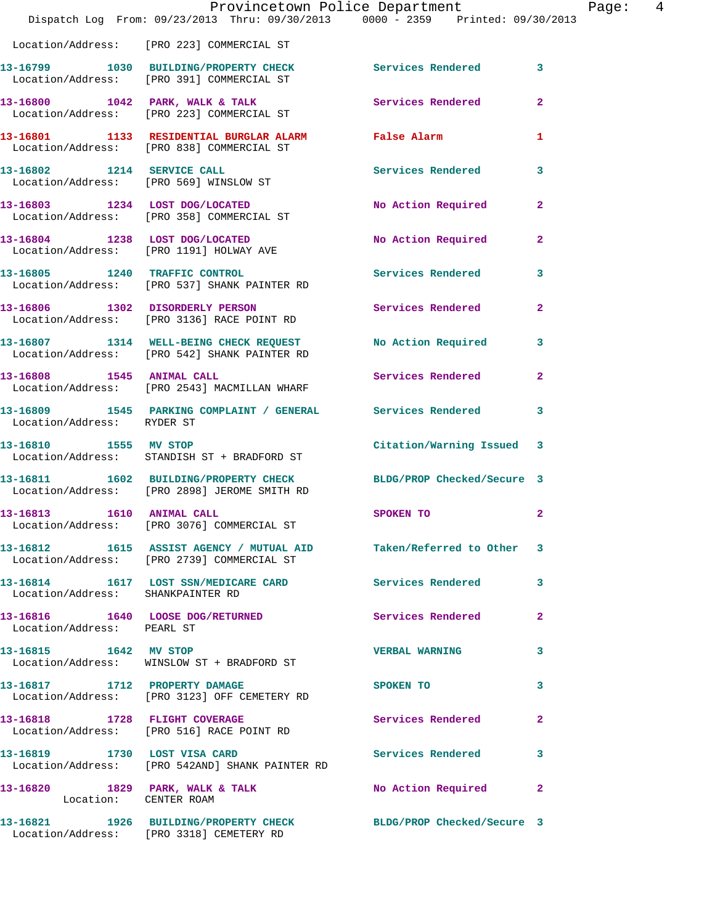|                                   | Provincetown Police Department<br>Dispatch Log From: 09/23/2013 Thru: 09/30/2013 0000 - 2359 Printed: 09/30/2013 |                           | Page: 4        |  |
|-----------------------------------|------------------------------------------------------------------------------------------------------------------|---------------------------|----------------|--|
|                                   | Location/Address: [PRO 223] COMMERCIAL ST                                                                        |                           |                |  |
|                                   | 13-16799 1030 BUILDING/PROPERTY CHECK Services Rendered 3<br>Location/Address: [PRO 391] COMMERCIAL ST           |                           |                |  |
|                                   | 13-16800 1042 PARK, WALK & TALK Services Rendered 2<br>Location/Address: [PRO 223] COMMERCIAL ST                 |                           |                |  |
|                                   | 13-16801 1133 RESIDENTIAL BURGLAR ALARM False Alarm<br>Location/Address: [PRO 838] COMMERCIAL ST                 |                           | 1              |  |
|                                   | 13-16802 1214 SERVICE CALL<br>Location/Address: [PRO 569] WINSLOW ST                                             | Services Rendered 3       |                |  |
|                                   | 13-16803 1234 LOST DOG/LOCATED<br>Location/Address: [PRO 358] COMMERCIAL ST                                      | No Action Required        | $\mathbf{2}$   |  |
|                                   | 13-16804 1238 LOST DOG/LOCATED<br>Location/Address: [PRO 1191] HOLWAY AVE                                        | No Action Required 2      |                |  |
|                                   | 13-16805 1240 TRAFFIC CONTROL<br>Location/Address: [PRO 537] SHANK PAINTER RD                                    | Services Rendered 3       |                |  |
|                                   | 13-16806 1302 DISORDERLY PERSON Services Rendered<br>Location/Address: [PRO 3136] RACE POINT RD                  |                           | $\mathbf{2}$   |  |
|                                   | 13-16807 1314 WELL-BEING CHECK REQUEST No Action Required 3<br>Location/Address: [PRO 542] SHANK PAINTER RD      |                           |                |  |
|                                   | 13-16808 1545 ANIMAL CALL<br>Location/Address: [PRO 2543] MACMILLAN WHARF                                        | Services Rendered         | $\overline{2}$ |  |
| Location/Address: RYDER ST        | 13-16809 1545 PARKING COMPLAINT / GENERAL Services Rendered 3                                                    |                           |                |  |
|                                   | 13-16810 1555 MV STOP<br>Location/Address: STANDISH ST + BRADFORD ST                                             | Citation/Warning Issued 3 |                |  |
|                                   | 13-16811 1602 BUILDING/PROPERTY CHECK BLDG/PROP Checked/Secure 3<br>Location/Address: [PRO 2898] JEROME SMITH RD |                           |                |  |
| 13-16813   1610   ANIMAL CALL     | Location/Address: [PRO 3076] COMMERCIAL ST                                                                       | SPOKEN TO                 | $\overline{a}$ |  |
|                                   | 13-16812 1615 ASSIST AGENCY / MUTUAL AID Taken/Referred to Other 3<br>Location/Address: [PRO 2739] COMMERCIAL ST |                           |                |  |
| Location/Address: SHANKPAINTER RD | 13-16814 1617 LOST SSN/MEDICARE CARD Services Rendered 3                                                         |                           |                |  |
| Location/Address: PEARL ST        | 13-16816 1640 LOOSE DOG/RETURNED Services Rendered 2                                                             |                           |                |  |
| 13-16815 1642 MV STOP             | Location/Address: WINSLOW ST + BRADFORD ST                                                                       | <b>VERBAL WARNING</b>     | 3              |  |
|                                   | 13-16817 1712 PROPERTY DAMAGE SPOKEN TO 3<br>Location/Address: [PRO 3123] OFF CEMETERY RD                        |                           |                |  |
|                                   | 13-16818 1728 FLIGHT COVERAGE<br>Location/Address: [PRO 516] RACE POINT RD                                       | Services Rendered         | $\mathbf{2}$   |  |
| 13-16819 1730 LOST VISA CARD      | Location/Address: [PRO 542AND] SHANK PAINTER RD                                                                  | Services Rendered 3       |                |  |
| Location: CENTER ROAM             | 13-16820 1829 PARK, WALK & TALK NO Action Required 2                                                             |                           |                |  |
|                                   | 13-16821 1926 BUILDING/PROPERTY CHECK BLDG/PROP Checked/Secure 3<br>Location/Address: [PRO 3318] CEMETERY RD     |                           |                |  |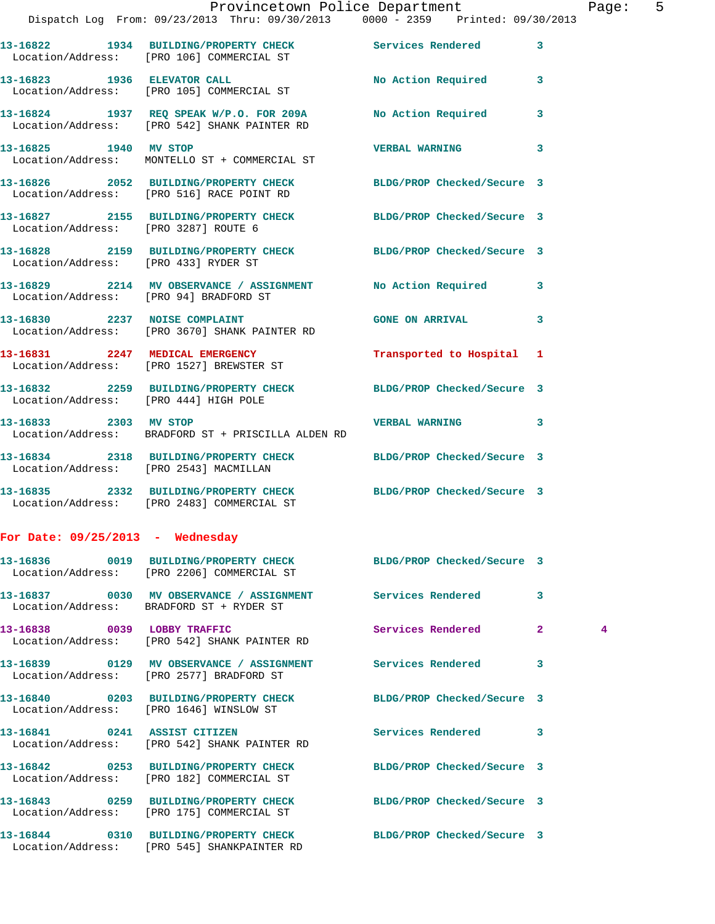|                                        | Provincetown Police Department<br>Dispatch Log From: 09/23/2013 Thru: 09/30/2013 0000 - 2359 Printed: 09/30/2013 |                            |                         |
|----------------------------------------|------------------------------------------------------------------------------------------------------------------|----------------------------|-------------------------|
|                                        | 13-16822 1934 BUILDING/PROPERTY CHECK Services Rendered<br>Location/Address: [PRO 106] COMMERCIAL ST             |                            | 3                       |
|                                        | 13-16823 1936 ELEVATOR CALL<br>Location/Address: [PRO 105] COMMERCIAL ST                                         | No Action Required         | 3                       |
|                                        | 13-16824 1937 REQ SPEAK W/P.O. FOR 209A<br>Location/Address: [PRO 542] SHANK PAINTER RD                          | <b>No Action Required</b>  | 3                       |
| 13-16825 1940 MV STOP                  | Location/Address: MONTELLO ST + COMMERCIAL ST                                                                    | <b>VERBAL WARNING</b>      | $\overline{\mathbf{3}}$ |
|                                        | 13-16826 2052 BUILDING/PROPERTY CHECK<br>Location/Address: [PRO 516] RACE POINT RD                               | BLDG/PROP Checked/Secure 3 |                         |
| Location/Address: [PRO 3287] ROUTE 6   | 13-16827 2155 BUILDING/PROPERTY CHECK                                                                            | BLDG/PROP Checked/Secure 3 |                         |
| Location/Address: [PRO 433] RYDER ST   | 13-16828 2159 BUILDING/PROPERTY CHECK BLDG/PROP Checked/Secure 3                                                 |                            |                         |
|                                        | 13-16829 2214 MV OBSERVANCE / ASSIGNMENT<br>Location/Address: [PRO 94] BRADFORD ST                               | <b>No Action Required</b>  | 3                       |
| 13-16830 2237 NOISE COMPLAINT          | Location/Address: [PRO 3670] SHANK PAINTER RD                                                                    | <b>GONE ON ARRIVAL</b>     | 3                       |
|                                        | 13-16831 2247 MEDICAL EMERGENCY<br>Location/Address: [PRO 1527] BREWSTER ST                                      | Transported to Hospital    | $\mathbf{1}$            |
|                                        | 13-16832 2259 BUILDING/PROPERTY CHECK BLDG/PROP Checked/Secure 3<br>Location/Address: [PRO 444] HIGH POLE        |                            |                         |
| 13-16833 2303 MV STOP                  | Location/Address: BRADFORD ST + PRISCILLA ALDEN RD                                                               | <b>VERBAL WARNING</b>      | 3                       |
| Location/Address: [PRO 2543] MACMILLAN | 13-16834 2318 BUILDING/PROPERTY CHECK BLDG/PROP Checked/Secure 3                                                 |                            |                         |
|                                        | 13-16835 2332 BUILDING/PROPERTY CHECK<br>Location/Address: [PRO 2483] COMMERCIAL ST                              | BLDG/PROP Checked/Secure 3 |                         |
|                                        |                                                                                                                  |                            |                         |

Page: 5

|  |  | For Date: 09/25/2013 |  | Wednesday |
|--|--|----------------------|--|-----------|
|--|--|----------------------|--|-----------|

Location/Address: [PRO 545] SHANKPAINTER RD

| 13-16836 0019 BUILDING/PROPERTY CHECK BLDG/PROP Checked/Secure 3<br>Location/Address: [PRO 2206] COMMERCIAL ST     |                          |                         |                |
|--------------------------------------------------------------------------------------------------------------------|--------------------------|-------------------------|----------------|
| 13-16837 0030 MV OBSERVANCE / ASSIGNMENT Services Rendered<br>Location/Address: BRADFORD ST + RYDER ST             |                          | $\overline{\mathbf{3}}$ |                |
| $13-16838$ 0039 LOBBY TRAFFIC<br>Location/Address: [PRO 542] SHANK PAINTER RD                                      | Services Rendered        | 2 <sup>1</sup>          | $\overline{4}$ |
| 13-16839      0129   MV OBSERVANCE / ASSIGNMENT      Services Rendered<br>Location/Address: [PRO 2577] BRADFORD ST |                          | $\overline{\mathbf{3}}$ |                |
| 13-16840 0203 BUILDING/PROPERTY CHECK BLDG/PROP Checked/Secure 3<br>Location/Address: [PRO 1646] WINSLOW ST        |                          |                         |                |
| 13-16841  0241 ASSIST CITIZEN<br>Location/Address: [PRO 542] SHANK PAINTER RD                                      | <b>Services Rendered</b> | 3                       |                |
| 13-16842 0253 BUILDING/PROPERTY CHECK BLDG/PROP Checked/Secure 3<br>Location/Address: [PRO 182] COMMERCIAL ST      |                          |                         |                |
| 13-16843 0259 BUILDING/PROPERTY CHECK BLDG/PROP Checked/Secure 3<br>Location/Address: [PRO 175] COMMERCIAL ST      |                          |                         |                |
| 13-16844 0310 BUILDING/PROPERTY CHECK BLDG/PROP Checked/Secure 3                                                   |                          |                         |                |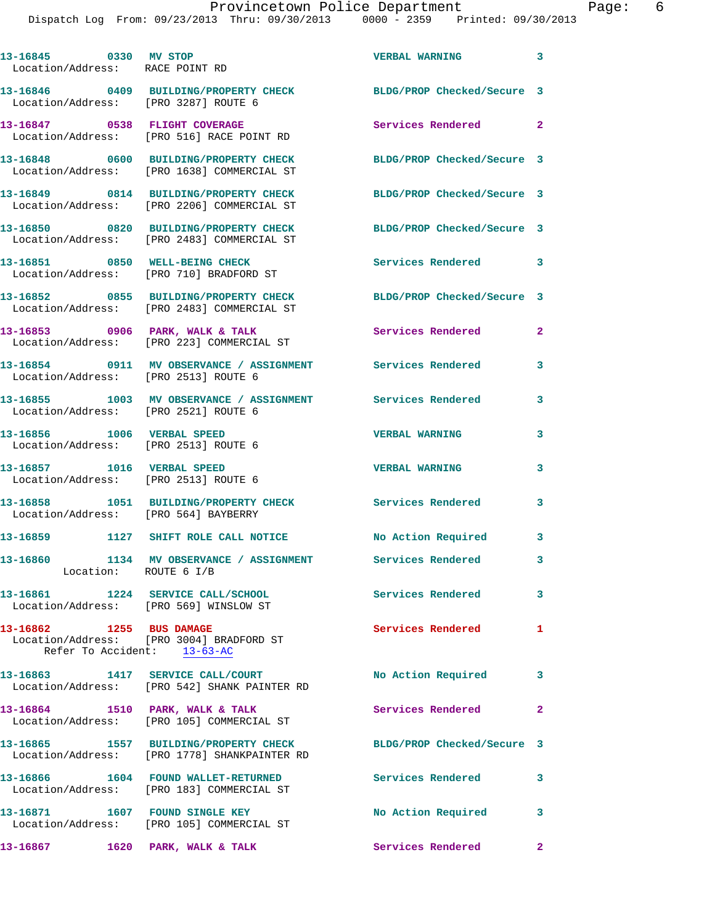Dispatch Log From: 09/23/2013 Thru: 09/30/2013 0000 - 2359 Printed: 09/30/2013

| 13-16845 0330 MV STOP<br>Location/Address: RACE POINT RD                                            |                       |                                          | <b>VERBAL WARNING</b>                                        | $\overline{\mathbf{3}}$ |
|-----------------------------------------------------------------------------------------------------|-----------------------|------------------------------------------|--------------------------------------------------------------|-------------------------|
| 13-16846 0409 BUILDING/PROPERTY CHECK<br>Location/Address: [PRO 3287] ROUTE 6                       |                       |                                          | BLDG/PROP Checked/Secure 3                                   |                         |
| 13-16847 0538 FLIGHT COVERAGE<br>Location/Address: [PRO 516] RACE POINT RD                          |                       |                                          | Services Rendered 2                                          |                         |
| 13-16848 0600 BUILDING/PROPERTY CHECK<br>Location/Address: [PRO 1638] COMMERCIAL ST                 |                       |                                          | BLDG/PROP Checked/Secure 3                                   |                         |
| 13-16849 0814 BUILDING/PROPERTY CHECK<br>Location/Address: [PRO 2206] COMMERCIAL ST                 |                       |                                          | BLDG/PROP Checked/Secure 3                                   |                         |
| 13-16850 0820 BUILDING/PROPERTY CHECK<br>Location/Address: [PRO 2483] COMMERCIAL ST                 |                       |                                          | BLDG/PROP Checked/Secure 3                                   |                         |
| 13-16851 0850 WELL-BEING CHECK<br>Location/Address: [PRO 710] BRADFORD ST                           |                       |                                          | Services Rendered                                            | 3                       |
| 13-16852 0855 BUILDING/PROPERTY CHECK<br>Location/Address: [PRO 2483] COMMERCIAL ST                 |                       |                                          | BLDG/PROP Checked/Secure 3                                   |                         |
| 13-16853 0906 PARK, WALK & TALK<br>Location/Address: [PRO 223] COMMERCIAL ST                        |                       |                                          | Services Rendered                                            | $\mathbf{2}$            |
| Location/Address: [PRO 2513] ROUTE 6                                                                |                       | 13-16854 0911 MV OBSERVANCE / ASSIGNMENT | Services Rendered                                            | 3                       |
| Location/Address: [PRO 2521] ROUTE 6                                                                |                       |                                          | 13-16855 1003 MV OBSERVANCE / ASSIGNMENT Services Rendered   | 3                       |
| 13-16856 1006 VERBAL SPEED<br>Location/Address: [PRO 2513] ROUTE 6                                  |                       |                                          | <b>VERBAL WARNING</b>                                        | 3                       |
| 13-16857 1016 VERBAL SPEED<br>Location/Address: [PRO 2513] ROUTE 6                                  |                       |                                          | <b>VERBAL WARNING</b>                                        | 3                       |
| 13-16858 1051 BUILDING/PROPERTY CHECK<br>Location/Address: [PRO 564] BAYBERRY                       |                       |                                          | Services Rendered                                            | 3                       |
|                                                                                                     |                       | 13-16859 1127 SHIFT ROLE CALL NOTICE     | No Action Required 3                                         |                         |
|                                                                                                     | Location: ROUTE 6 I/B |                                          | 13-16860 1134 MV OBSERVANCE / ASSIGNMENT Services Rendered 3 |                         |
| 13-16861 1224 SERVICE CALL/SCHOOL<br>Location/Address: [PRO 569] WINSLOW ST                         |                       |                                          | Services Rendered 3                                          |                         |
| 13-16862 1255 BUS DAMAGE<br>Location/Address: [PRO 3004] BRADFORD ST<br>Refer To Accident: 13-63-AC |                       |                                          | Services Rendered                                            | $\mathbf{1}$            |
| 13-16863 1417 SERVICE CALL/COURT<br>Location/Address: [PRO 542] SHANK PAINTER RD                    |                       |                                          | <b>No Action Required</b>                                    | $\overline{\mathbf{3}}$ |
| 13-16864 1510 PARK, WALK & TALK<br>Location/Address: [PRO 105] COMMERCIAL ST                        |                       |                                          | Services Rendered 2                                          |                         |
| 13-16865 1557 BUILDING/PROPERTY CHECK<br>Location/Address: [PRO 1778] SHANKPAINTER RD               |                       |                                          | BLDG/PROP Checked/Secure 3                                   |                         |
| 13-16866 1604 FOUND WALLET-RETURNED<br>Location/Address: [PRO 183] COMMERCIAL ST                    |                       |                                          | <b>Services Rendered</b>                                     | $\mathbf{3}$            |
| 13-16871 1607 FOUND SINGLE KEY<br>Location/Address: [PRO 105] COMMERCIAL ST                         |                       |                                          | No Action Required                                           | 3                       |
| 13-16867 1620 PARK, WALK & TALK                                                                     |                       |                                          | Services Rendered<br>$\sim$ $\sim$ 2                         |                         |
|                                                                                                     |                       |                                          |                                                              |                         |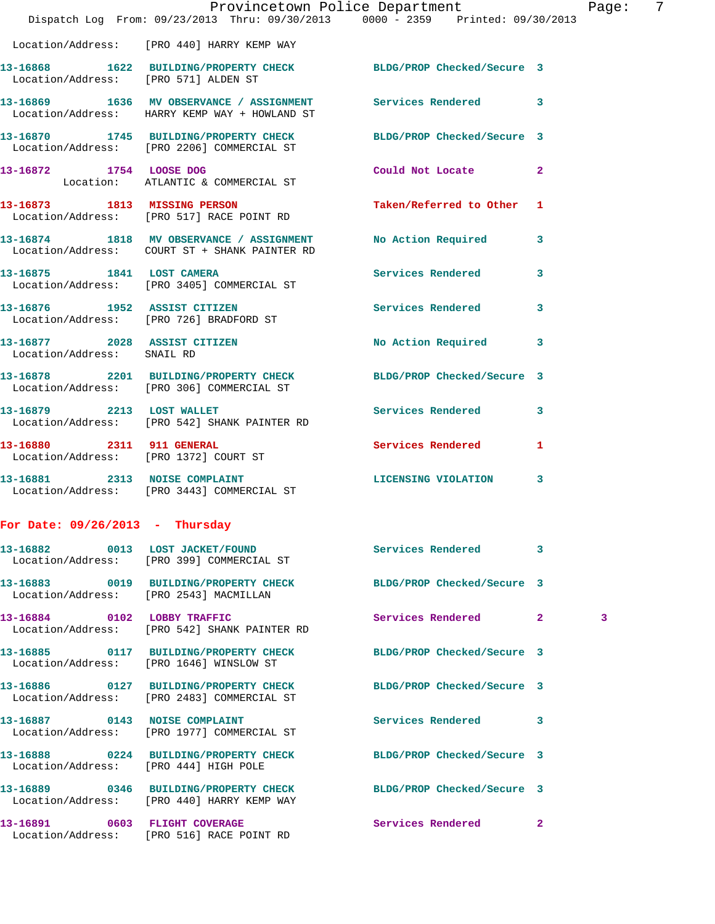|                                        | Dispatch Log From: 09/23/2013 Thru: 09/30/2013 0000 - 2359 Printed: 09/30/2013                                 | Provincetown Police Department |              | Page: | 7 |
|----------------------------------------|----------------------------------------------------------------------------------------------------------------|--------------------------------|--------------|-------|---|
|                                        | Location/Address: [PRO 440] HARRY KEMP WAY                                                                     |                                |              |       |   |
|                                        | 13-16868 1622 BUILDING/PROPERTY CHECK BLDG/PROP Checked/Secure 3<br>Location/Address: [PRO 571] ALDEN ST       |                                |              |       |   |
|                                        | 13-16869 1636 MV OBSERVANCE / ASSIGNMENT Services Rendered 3<br>Location/Address: HARRY KEMP WAY + HOWLAND ST  |                                |              |       |   |
|                                        | 13-16870 1745 BUILDING/PROPERTY CHECK BLDG/PROP Checked/Secure 3<br>Location/Address: [PRO 2206] COMMERCIAL ST |                                |              |       |   |
|                                        | 13-16872 1754 LOOSE DOG<br>Location: ATLANTIC & COMMERCIAL ST                                                  | Could Not Locate 2             |              |       |   |
|                                        | 13-16873 1813 MISSING PERSON<br>Location/Address: [PRO 517] RACE POINT RD                                      | Taken/Referred to Other 1      |              |       |   |
|                                        | 13-16874 1818 MV OBSERVANCE / ASSIGNMENT No Action Required 3<br>Location/Address: COURT ST + SHANK PAINTER RD |                                |              |       |   |
|                                        | 13-16875 1841 LOST CAMERA<br>Location/Address: [PRO 3405] COMMERCIAL ST                                        | Services Rendered              | 3            |       |   |
|                                        | 13-16876 1952 ASSIST CITIZEN<br>Location/Address: [PRO 726] BRADFORD ST                                        | Services Rendered 3            |              |       |   |
| Location/Address: SNAIL RD             | 13-16877 2028 ASSIST CITIZEN                                                                                   | No Action Required 3           |              |       |   |
|                                        | 13-16878 2201 BUILDING/PROPERTY CHECK BLDG/PROP Checked/Secure 3<br>Location/Address: [PRO 306] COMMERCIAL ST  |                                |              |       |   |
|                                        | 13-16879 2213 LOST WALLET<br>Location/Address: [PRO 542] SHANK PAINTER RD                                      | <b>Services Rendered</b>       | 3            |       |   |
|                                        | 13-16880 2311 911 GENERAL<br>Location/Address: [PRO 1372] COURT ST                                             | Services Rendered 1            |              |       |   |
|                                        | 13-16881 2313 NOISE COMPLAINT<br>Location/Address: [PRO 3443] COMMERCIAL ST                                    | LICENSING VIOLATION 3          |              |       |   |
| For Date: $09/26/2013$ - Thursday      |                                                                                                                |                                |              |       |   |
|                                        | 13-16882 0013 LOST JACKET/FOUND<br>Location/Address: [PRO 399] COMMERCIAL ST                                   | Services Rendered 3            |              |       |   |
| Location/Address: [PRO 2543] MACMILLAN | 13-16883 0019 BUILDING/PROPERTY CHECK BLDG/PROP Checked/Secure 3                                               |                                |              |       |   |
|                                        | 13-16884 0102 LOBBY TRAFFIC<br>Location/Address: [PRO 542] SHANK PAINTER RD                                    | Services Rendered 2            |              | 3     |   |
|                                        | 13-16885 0117 BUILDING/PROPERTY CHECK<br>Location/Address: [PRO 1646] WINSLOW ST                               | BLDG/PROP Checked/Secure 3     |              |       |   |
|                                        | 13-16886 0127 BUILDING/PROPERTY CHECK BLDG/PROP Checked/Secure 3<br>Location/Address: [PRO 2483] COMMERCIAL ST |                                |              |       |   |
|                                        | 13-16887 0143 NOISE COMPLAINT<br>Location/Address: [PRO 1977] COMMERCIAL ST                                    | Services Rendered 3            |              |       |   |
| Location/Address: [PRO 444] HIGH POLE  | 13-16888 0224 BUILDING/PROPERTY CHECK BLDG/PROP Checked/Secure 3                                               |                                |              |       |   |
|                                        | 13-16889 0346 BUILDING/PROPERTY CHECK BLDG/PROP Checked/Secure 3<br>Location/Address: [PRO 440] HARRY KEMP WAY |                                |              |       |   |
|                                        | 13-16891 0603 FLIGHT COVERAGE<br>Location/Address: [PRO 516] RACE POINT RD                                     | Services Rendered              | $\mathbf{2}$ |       |   |

|                                       | Location/Address: [PRO 399] COMMERCIAL ST                                                                      | Services Rendered 3      |                         |
|---------------------------------------|----------------------------------------------------------------------------------------------------------------|--------------------------|-------------------------|
|                                       | 3-16883 0019 BUILDING/PROPERTY CHECK BLDG/PROP Checked/Secure 3<br>Location/Address: [PRO 2543] MACMILLAN      |                          |                         |
|                                       | $3-16884$ 0102 LOBBY TRAFFIC<br>Location/Address: [PRO 542] SHANK PAINTER RD                                   | Services Rendered        | $\overline{2}$          |
|                                       | 3-16885 0117 BUILDING/PROPERTY CHECK BLDG/PROP Checked/Secure 3<br>Location/Address: [PRO 1646] WINSLOW ST     |                          |                         |
|                                       | 3-16886  0127 BUILDING/PROPERTY CHECK BLDG/PROP Checked/Secure 3<br>Location/Address: [PRO 2483] COMMERCIAL ST |                          |                         |
|                                       | 3-16887 0143 NOISE COMPLAINT<br>Location/Address: [PRO 1977] COMMERCIAL ST                                     | <b>Services Rendered</b> | $\overline{\mathbf{3}}$ |
| Location/Address: [PRO 444] HIGH POLE | 3-16888 0224 BUILDING/PROPERTY CHECK BLDG/PROP Checked/Secure 3                                                |                          |                         |
|                                       | 3-16889 0346 BUILDING/PROPERTY CHECK BLDG/PROP Checked/Secure 3<br>Location/Address: [PRO 440] HARRY KEMP WAY  |                          |                         |
| 3-16891 0603 FLIGHT COVERAGE          | Logation ( <i>ladvoca</i> : [DDO E16] DAGE DOINT DD                                                            | Services Rendered        | $\overline{2}$          |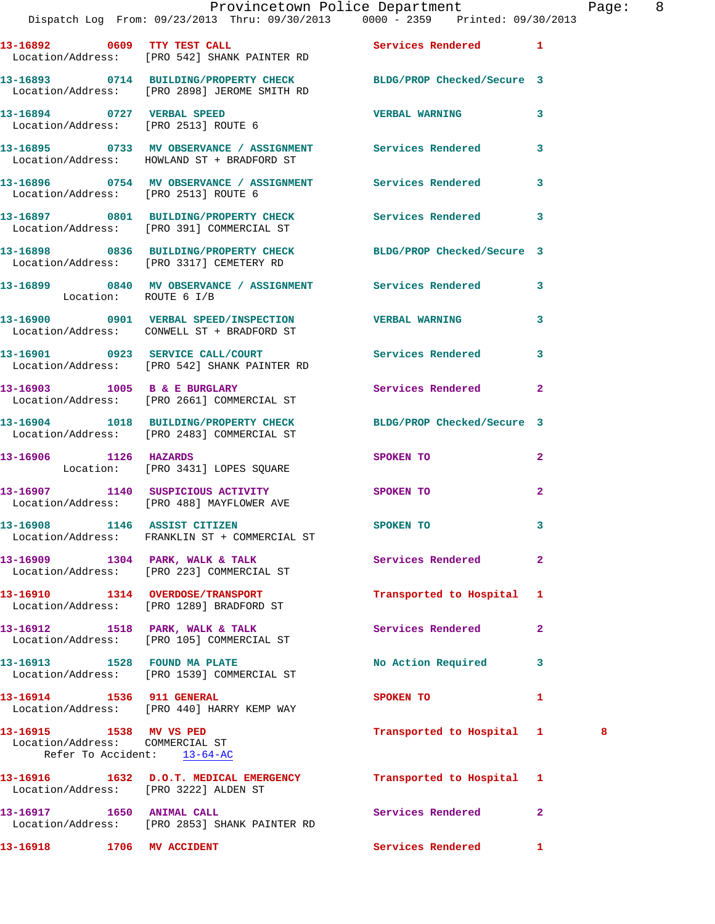|                                                                                           | 13-16892 0609 TTY TEST CALL<br>Location/Address: [PRO 542] SHANK PAINTER RD                                      | Services Rendered           | 1              |
|-------------------------------------------------------------------------------------------|------------------------------------------------------------------------------------------------------------------|-----------------------------|----------------|
|                                                                                           | 13-16893 0714 BUILDING/PROPERTY CHECK BLDG/PROP Checked/Secure 3<br>Location/Address: [PRO 2898] JEROME SMITH RD |                             |                |
| 13-16894 0727 VERBAL SPEED<br>Location/Address: [PRO 2513] ROUTE 6                        |                                                                                                                  | <b>VERBAL WARNING</b>       | 3              |
|                                                                                           | 13-16895 0733 MV OBSERVANCE / ASSIGNMENT Services Rendered<br>Location/Address: HOWLAND ST + BRADFORD ST         |                             | 3              |
| Location/Address: [PRO 2513] ROUTE 6                                                      | 13-16896 0754 MV OBSERVANCE / ASSIGNMENT Services Rendered                                                       |                             | 3              |
|                                                                                           | 13-16897 0801 BUILDING/PROPERTY CHECK Services Rendered<br>Location/Address: [PRO 391] COMMERCIAL ST             |                             | 3              |
|                                                                                           | 13-16898 0836 BUILDING/PROPERTY CHECK BLDG/PROP Checked/Secure 3<br>Location/Address: [PRO 3317] CEMETERY RD     |                             |                |
| Location: ROUTE 6 I/B                                                                     | 13-16899 0840 MV OBSERVANCE / ASSIGNMENT Services Rendered                                                       |                             | 3              |
|                                                                                           | 13-16900 0901 VERBAL SPEED/INSPECTION VERBAL WARNING<br>Location/Address: CONWELL ST + BRADFORD ST               |                             | 3              |
|                                                                                           | 13-16901 0923 SERVICE CALL/COURT Services Rendered<br>Location/Address: [PRO 542] SHANK PAINTER RD               |                             | 3              |
|                                                                                           | 13-16903 1005 B & E BURGLARY<br>Location/Address: [PRO 2661] COMMERCIAL ST                                       | Services Rendered           | $\mathbf{2}$   |
|                                                                                           | 13-16904 1018 BUILDING/PROPERTY CHECK BLDG/PROP Checked/Secure 3<br>Location/Address: [PRO 2483] COMMERCIAL ST   |                             |                |
| 13-16906 1126 HAZARDS                                                                     | Location: [PRO 3431] LOPES SQUARE                                                                                | <b>SPOKEN TO</b>            | $\mathbf{2}$   |
|                                                                                           | 13-16907 1140 SUSPICIOUS ACTIVITY<br>Location/Address: [PRO 488] MAYFLOWER AVE                                   | SPOKEN TO                   | $\mathbf{2}$   |
|                                                                                           | 13-16908 1146 ASSIST CITIZEN<br>Location/Address: FRANKLIN ST + COMMERCIAL ST                                    | <b>SPOKEN TO</b>            | 3              |
|                                                                                           | 13-16909 1304 PARK, WALK & TALK<br>Location/Address: [PRO 223] COMMERCIAL ST                                     | Services Rendered           | $\mathbf{2}$   |
|                                                                                           | 13-16910 1314 OVERDOSE/TRANSPORT<br>Location/Address: [PRO 1289] BRADFORD ST                                     | Transported to Hospital 1   |                |
|                                                                                           | 13-16912 1518 PARK, WALK & TALK<br>Location/Address: [PRO 105] COMMERCIAL ST                                     | Services Rendered           | $\overline{a}$ |
| 13-16913 1528 FOUND MA PLATE                                                              | Location/Address: [PRO 1539] COMMERCIAL ST                                                                       | No Action Required          | 3              |
| 13-16914 1536 911 GENERAL                                                                 | Location/Address: [PRO 440] HARRY KEMP WAY                                                                       | <b>SPOKEN TO</b>            | 1              |
| 13-16915 1538 MV VS PED<br>Location/Address: COMMERCIAL ST<br>Refer To Accident: 13-64-AC |                                                                                                                  | Transported to Hospital 1 3 |                |
| Location/Address: [PRO 3222] ALDEN ST                                                     | 13-16916 1632 D.O.T. MEDICAL EMERGENCY                                                                           | Transported to Hospital 1   |                |
| 13-16917 1650 ANIMAL CALL                                                                 | Location/Address: [PRO 2853] SHANK PAINTER RD                                                                    | Services Rendered           | $\overline{a}$ |
| 13-16918 1706 MV ACCIDENT                                                                 |                                                                                                                  | <b>Services Rendered</b>    | $\mathbf{1}$   |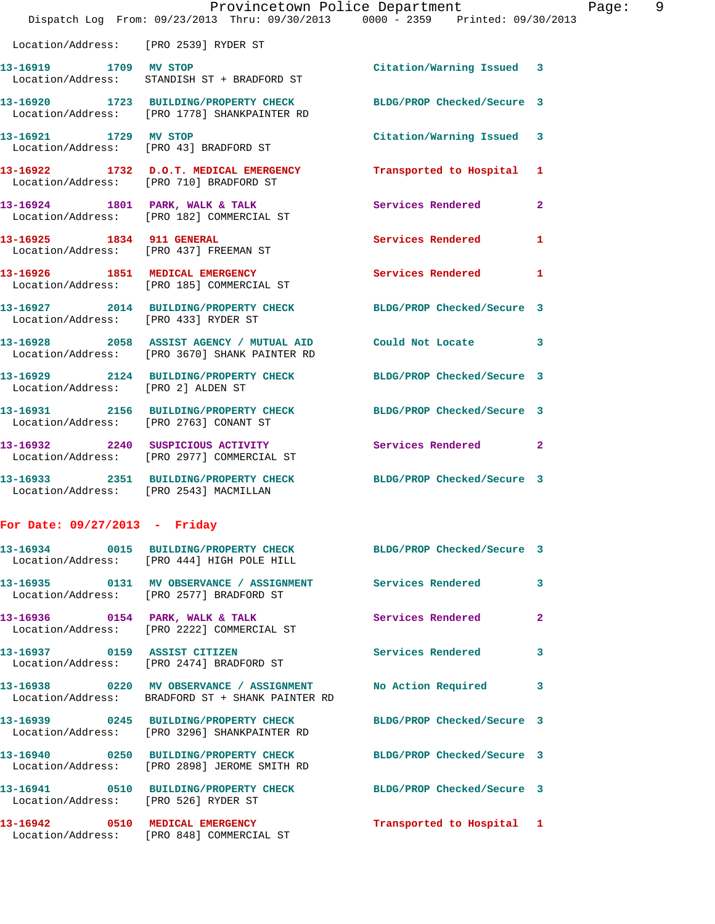|                                                                 |                                                                                                                  | Provincetown Police Department | Page: 9        |
|-----------------------------------------------------------------|------------------------------------------------------------------------------------------------------------------|--------------------------------|----------------|
|                                                                 | Dispatch Log From: 09/23/2013 Thru: 09/30/2013 0000 - 2359 Printed: 09/30/2013                                   |                                |                |
| Location/Address: [PRO 2539] RYDER ST                           |                                                                                                                  |                                |                |
|                                                                 | 13-16919 1709 MV STOP<br>Location/Address: STANDISH ST + BRADFORD ST                                             | Citation/Warning Issued 3      |                |
|                                                                 | 13-16920 1723 BUILDING/PROPERTY CHECK BLDG/PROP Checked/Secure 3<br>Location/Address: [PRO 1778] SHANKPAINTER RD |                                |                |
| 13-16921 1729 MV STOP<br>Location/Address: [PRO 43] BRADFORD ST |                                                                                                                  | Citation/Warning Issued 3      |                |
|                                                                 | 13-16922 1732 D.O.T. MEDICAL EMERGENCY<br>Location/Address: [PRO 710] BRADFORD ST                                | Transported to Hospital 1      |                |
|                                                                 | 13-16924 1801 PARK, WALK & TALK<br>Location/Address: [PRO 182] COMMERCIAL ST                                     | <b>Services Rendered</b>       | $\overline{2}$ |
|                                                                 | 13-16925 1834 911 GENERAL<br>Location/Address: [PRO 437] FREEMAN ST                                              | <b>Services Rendered</b>       | 1              |
|                                                                 | 13-16926 1851 MEDICAL EMERGENCY<br>Location/Address: [PRO 185] COMMERCIAL ST                                     | <b>Services Rendered</b>       | $\mathbf{1}$   |
| Location/Address: [PRO 433] RYDER ST                            | 13-16927 2014 BUILDING/PROPERTY CHECK BLDG/PROP Checked/Secure 3                                                 |                                |                |
|                                                                 | 13-16928 2058 ASSIST AGENCY / MUTUAL AID Could Not Locate 3<br>Location/Address: [PRO 3670] SHANK PAINTER RD     |                                |                |
| Location/Address: [PRO 2] ALDEN ST                              | 13-16929 2124 BUILDING/PROPERTY CHECK BLDG/PROP Checked/Secure 3                                                 |                                |                |
| Location/Address: [PRO 2763] CONANT ST                          | 13-16931 2156 BUILDING/PROPERTY CHECK BLDG/PROP Checked/Secure 3                                                 |                                |                |
|                                                                 | 13-16932 2240 SUSPICIOUS ACTIVITY                                                                                | Services Rendered              | $\mathbf{2}$   |

 Location/Address: [PRO 2977] COMMERCIAL ST **13-16933 2351 BUILDING/PROPERTY CHECK BLDG/PROP Checked/Secure 3**  Location/Address: [PRO 2543] MACMILLAN

## **For Date: 09/27/2013 - Friday**

|                                      | 13-16934 0015 BUILDING/PROPERTY CHECK BLDG/PROP Checked/Secure 3<br>Location/Address: [PRO 444] HIGH POLE HILL     |                           |                |
|--------------------------------------|--------------------------------------------------------------------------------------------------------------------|---------------------------|----------------|
|                                      | 13-16935      0131   MV OBSERVANCE / ASSIGNMENT      Services Rendered<br>Location/Address: [PRO 2577] BRADFORD ST |                           | $\mathbf{3}$   |
|                                      | Location/Address: [PRO 2222] COMMERCIAL ST                                                                         |                           | $\overline{2}$ |
|                                      | Location/Address: [PRO 2474] BRADFORD ST                                                                           | <b>Services Rendered</b>  | $\overline{3}$ |
|                                      | 13-16938 0220 MV OBSERVANCE / ASSIGNMENT No Action Required 3<br>Location/Address: BRADFORD ST + SHANK PAINTER RD  |                           |                |
|                                      | 13-16939 0245 BUILDING/PROPERTY CHECK BLDG/PROP Checked/Secure 3<br>Location/Address: [PRO 3296] SHANKPAINTER RD   |                           |                |
|                                      | 13-16940 0250 BUILDING/PROPERTY CHECK BLDG/PROP Checked/Secure 3<br>Location/Address: [PRO 2898] JEROME SMITH RD   |                           |                |
| Location/Address: [PRO 526] RYDER ST | 13-16941 0510 BUILDING/PROPERTY CHECK BLDG/PROP Checked/Secure 3                                                   |                           |                |
|                                      | 13-16942 0510 MEDICAL EMERGENCY<br>Location/Address: [PRO 848] COMMERCIAL ST                                       | Transported to Hospital 1 |                |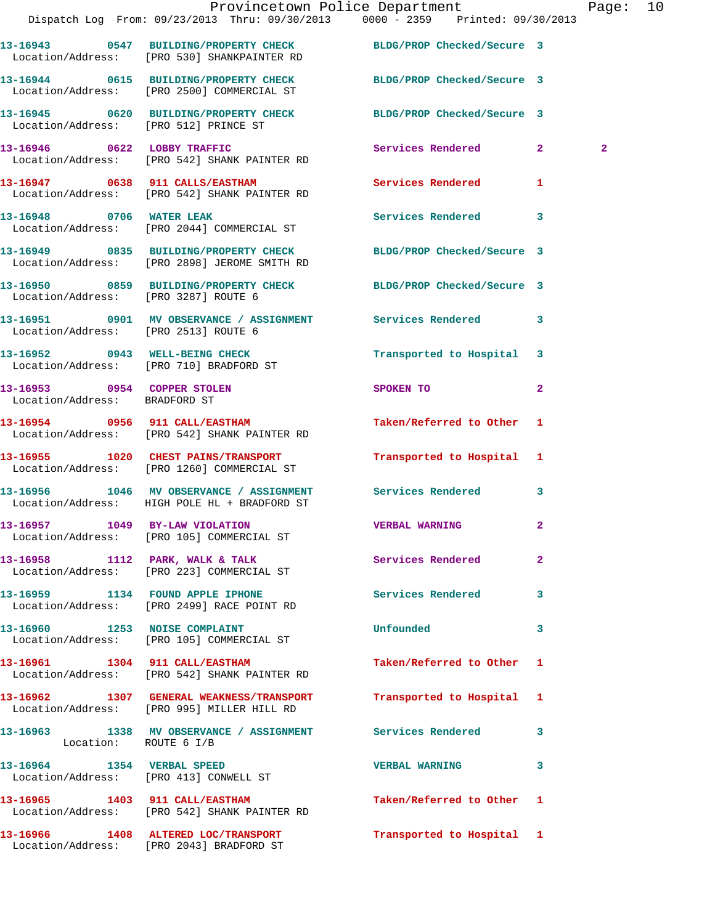|                                      |                                                                                                                  | Provincetown Police Department<br>Dispatch Log From: 09/23/2013 Thru: 09/30/2013 0000 - 2359 Printed: 09/30/2013                | Page: 10       |  |
|--------------------------------------|------------------------------------------------------------------------------------------------------------------|---------------------------------------------------------------------------------------------------------------------------------|----------------|--|
|                                      | 13-16943 0547 BUILDING/PROPERTY CHECK BLDG/PROP Checked/Secure 3<br>Location/Address: [PRO 530] SHANKPAINTER RD  |                                                                                                                                 |                |  |
|                                      | 13-16944 0615 BUILDING/PROPERTY CHECK BLDG/PROP Checked/Secure 3<br>Location/Address: [PRO 2500] COMMERCIAL ST   |                                                                                                                                 |                |  |
|                                      | 13-16945 0620 BUILDING/PROPERTY CHECK BLDG/PROP Checked/Secure 3<br>Location/Address: [PRO 512] PRINCE ST        |                                                                                                                                 |                |  |
|                                      | 13-16946 0622 LOBBY TRAFFIC<br>Location/Address: [PRO 542] SHANK PAINTER RD                                      | Services Rendered 2                                                                                                             | $\overline{2}$ |  |
|                                      | 13-16947 0638 911 CALLS/EASTHAM<br>Location/Address: [PRO 542] SHANK PAINTER RD                                  | Services Rendered 1                                                                                                             |                |  |
|                                      | 13-16948 0706 WATER LEAK<br>Location/Address: [PRO 2044] COMMERCIAL ST                                           | Services Rendered 3                                                                                                             |                |  |
|                                      | 13-16949 0835 BUILDING/PROPERTY CHECK BLDG/PROP Checked/Secure 3<br>Location/Address: [PRO 2898] JEROME SMITH RD |                                                                                                                                 |                |  |
| Location/Address: [PRO 3287] ROUTE 6 | 13-16950 0859 BUILDING/PROPERTY CHECK BLDG/PROP Checked/Secure 3                                                 |                                                                                                                                 |                |  |
| Location/Address: [PRO 2513] ROUTE 6 | 13-16951 0901 MV OBSERVANCE / ASSIGNMENT Services Rendered 3                                                     |                                                                                                                                 |                |  |
|                                      | 13-16952 0943 WELL-BEING CHECK<br>Location/Address: [PRO 710] BRADFORD ST                                        | Transported to Hospital 3                                                                                                       |                |  |
| Location/Address: BRADFORD ST        | 13-16953 0954 COPPER STOLEN                                                                                      | $\overline{2}$<br>SPOKEN TO AND TO A STATE OF THE STATE OF THE STATE OF THE STATE OF THE STATE OF THE STATE OF THE STATE OF THE |                |  |
|                                      | 13-16954      0956   911 CALL/EASTHAM<br>Location/Address:   [PRO 542] SHANK PAINTER RD                          | Taken/Referred to Other 1                                                                                                       |                |  |
|                                      | 13-16955 1020 CHEST PAINS/TRANSPORT<br>Location/Address: [PRO 1260] COMMERCIAL ST                                | Transported to Hospital 1                                                                                                       |                |  |
|                                      | 13-16956 1046 MV OBSERVANCE / ASSIGNMENT Services Rendered 3<br>Location/Address: HIGH POLE HL + BRADFORD ST     |                                                                                                                                 |                |  |
|                                      | 13-16957 1049 BY-LAW VIOLATION<br>Location/Address: [PRO 105] COMMERCIAL ST                                      | <b>VERBAL WARNING</b>                                                                                                           |                |  |
|                                      | 13-16958 1112 PARK, WALK & TALK 1998 Services Rendered<br>Location/Address: [PRO 223] COMMERCIAL ST              | $\mathbf{2}$                                                                                                                    |                |  |
|                                      | 13-16959 1134 FOUND APPLE IPHONE<br>Location/Address: [PRO 2499] RACE POINT RD                                   | Services Rendered 3                                                                                                             |                |  |
|                                      | 13-16960 1253 NOISE COMPLAINT<br>Location/Address: [PRO 105] COMMERCIAL ST                                       | Unfounded<br>3                                                                                                                  |                |  |
| 13-16961 1304 911 CALL/EASTHAM       | Location/Address: [PRO 542] SHANK PAINTER RD                                                                     | Taken/Referred to Other 1                                                                                                       |                |  |
|                                      | 13-16962 1307 GENERAL WEAKNESS/TRANSPORT<br>Location/Address: [PRO 995] MILLER HILL RD                           | Transported to Hospital 1                                                                                                       |                |  |
| Location: ROUTE 6 I/B                | 13-16963 1338 MV OBSERVANCE / ASSIGNMENT Services Rendered 3                                                     |                                                                                                                                 |                |  |
|                                      | 13-16964 1354 VERBAL SPEED<br>Location/Address: [PRO 413] CONWELL ST                                             | <b>VERBAL WARNING</b><br>3                                                                                                      |                |  |
|                                      | 13-16965 1403 911 CALL/EASTHAM<br>Location/Address: [PRO 542] SHANK PAINTER RD                                   | Taken/Referred to Other 1                                                                                                       |                |  |
|                                      | 13-16966 1408 ALTERED LOC/TRANSPORT<br>Location/Address: [PRO 2043] BRADFORD ST                                  | Transported to Hospital 1                                                                                                       |                |  |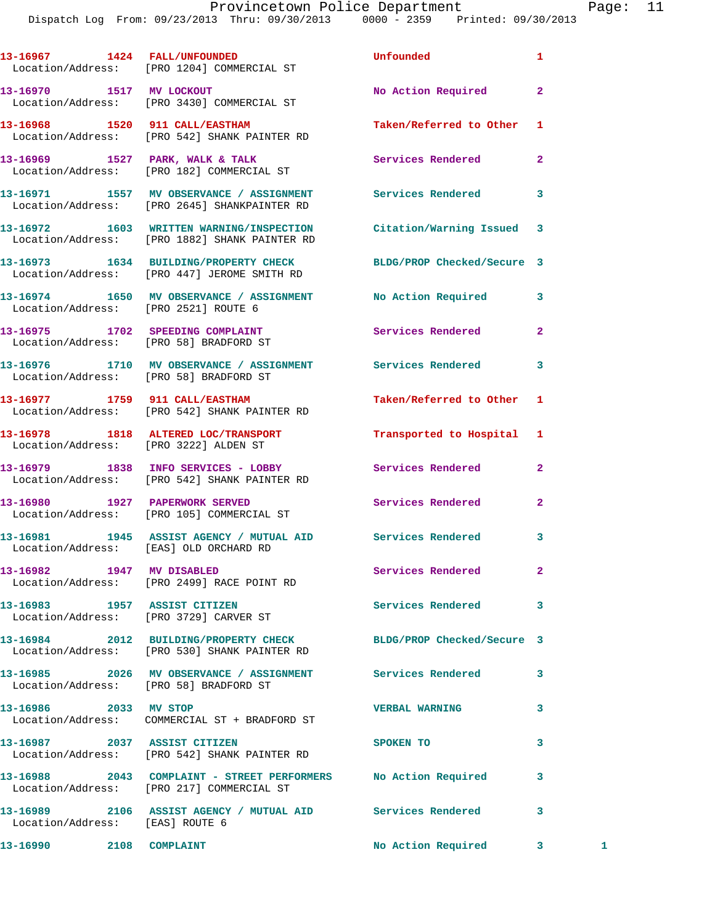|                                 | 13-16967 1424 FALL/UNFOUNDED<br>Location/Address: [PRO 1204] COMMERCIAL ST                                       | Unfounded                 | 1              |   |
|---------------------------------|------------------------------------------------------------------------------------------------------------------|---------------------------|----------------|---|
| 13-16970 1517 MV LOCKOUT        | Location/Address: [PRO 3430] COMMERCIAL ST                                                                       | No Action Required        | $\overline{a}$ |   |
|                                 | 13-16968 1520 911 CALL/EASTHAM<br>Location/Address: [PRO 542] SHANK PAINTER RD                                   | Taken/Referred to Other   | 1              |   |
|                                 | 13-16969 1527 PARK, WALK & TALK<br>Location/Address: [PRO 182] COMMERCIAL ST                                     | Services Rendered         | $\mathbf{2}$   |   |
|                                 | 13-16971 1557 MV OBSERVANCE / ASSIGNMENT Services Rendered<br>Location/Address: [PRO 2645] SHANKPAINTER RD       |                           | 3              |   |
|                                 | 13-16972 1603 WRITTEN WARNING/INSPECTION<br>Location/Address: [PRO 1882] SHANK PAINTER RD                        | Citation/Warning Issued 3 |                |   |
|                                 | 13-16973 1634 BUILDING/PROPERTY CHECK BLDG/PROP Checked/Secure 3<br>Location/Address: [PRO 447] JEROME SMITH RD  |                           |                |   |
|                                 | 13-16974 1650 MV OBSERVANCE / ASSIGNMENT No Action Required<br>Location/Address: [PRO 2521] ROUTE 6              |                           | 3              |   |
|                                 | 13-16975 1702 SPEEDING COMPLAINT<br>Location/Address: [PRO 58] BRADFORD ST                                       | Services Rendered         | $\overline{a}$ |   |
|                                 | 13-16976 1710 MV OBSERVANCE / ASSIGNMENT Services Rendered<br>Location/Address: [PRO 58] BRADFORD ST             |                           | 3              |   |
|                                 | 13-16977 1759 911 CALL/EASTHAM<br>Location/Address: [PRO 542] SHANK PAINTER RD                                   | Taken/Referred to Other   | 1              |   |
|                                 | 13-16978 1818 ALTERED LOC/TRANSPORT<br>Location/Address: [PRO 3222] ALDEN ST                                     | Transported to Hospital   | 1              |   |
|                                 | 13-16979 1838 INFO SERVICES - LOBBY<br>Location/Address: [PRO 542] SHANK PAINTER RD                              | Services Rendered         | $\mathbf{2}$   |   |
|                                 | 13-16980 1927 PAPERWORK SERVED<br>Location/Address: [PRO 105] COMMERCIAL ST                                      | Services Rendered         | $\mathbf{2}$   |   |
|                                 | 13-16981 1945 ASSIST AGENCY / MUTUAL AID Services Rendered<br>Location/Address: [EAS] OLD ORCHARD RD             |                           | 3              |   |
| 13-16982 1947 MV DISABLED       | Location/Address: [PRO 2499] RACE POINT RD                                                                       | Services Rendered         | 2              |   |
| 13-16983 1957 ASSIST CITIZEN    | Location/Address: [PRO 3729] CARVER ST                                                                           | Services Rendered         | 3              |   |
|                                 | 13-16984 2012 BUILDING/PROPERTY CHECK BLDG/PROP Checked/Secure 3<br>Location/Address: [PRO 530] SHANK PAINTER RD |                           |                |   |
|                                 | 13-16985 2026 MV OBSERVANCE / ASSIGNMENT Services Rendered<br>Location/Address: [PRO 58] BRADFORD ST             |                           | 3              |   |
| 13-16986 2033 MV STOP           | Location/Address: COMMERCIAL ST + BRADFORD ST                                                                    | <b>VERBAL WARNING</b>     | 3              |   |
| 13-16987 2037 ASSIST CITIZEN    | Location/Address: [PRO 542] SHANK PAINTER RD                                                                     | SPOKEN TO                 | 3              |   |
|                                 | 13-16988 2043 COMPLAINT - STREET PERFORMERS No Action Required<br>Location/Address: [PRO 217] COMMERCIAL ST      |                           | 3              |   |
| Location/Address: [EAS] ROUTE 6 | 13-16989 2106 ASSIST AGENCY / MUTUAL AID Services Rendered                                                       |                           | 3              |   |
| 13-16990 2108 COMPLAINT         |                                                                                                                  | No Action Required        | 3              | 1 |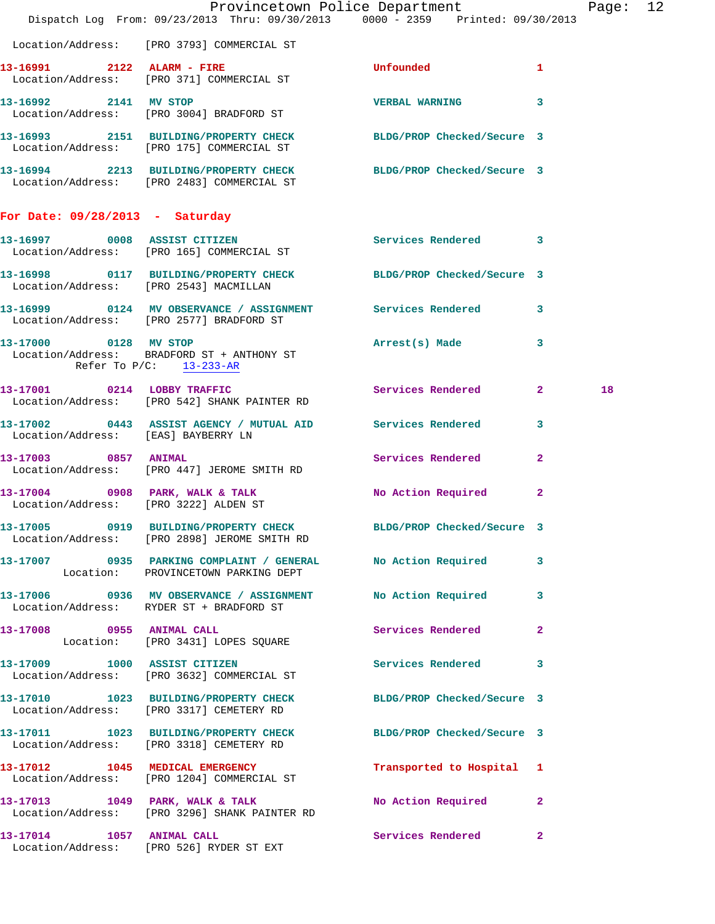|                                                     | Dispatch Log From: 09/23/2013 Thru: 09/30/2013 0000 - 2359 Printed: 09/30/2013                                 | Provincetown Police Department |              | Page: 12 |  |
|-----------------------------------------------------|----------------------------------------------------------------------------------------------------------------|--------------------------------|--------------|----------|--|
|                                                     | Location/Address: [PRO 3793] COMMERCIAL ST                                                                     |                                |              |          |  |
|                                                     | 13-16991 2122 ALARM - FIRE<br>Location/Address: [PRO 371] COMMERCIAL ST                                        | Unfounded                      | 1            |          |  |
|                                                     | 13-16992 2141 MV STOP<br>Location/Address: [PRO 3004] BRADFORD ST                                              | VERBAL WARNING 3               |              |          |  |
|                                                     | 13-16993 2151 BUILDING/PROPERTY CHECK BLDG/PROP Checked/Secure 3<br>Location/Address: [PRO 175] COMMERCIAL ST  |                                |              |          |  |
|                                                     | 13-16994 2213 BUILDING/PROPERTY CHECK BLDG/PROP Checked/Secure 3<br>Location/Address: [PRO 2483] COMMERCIAL ST |                                |              |          |  |
| For Date: $09/28/2013$ - Saturday                   |                                                                                                                |                                |              |          |  |
|                                                     | 13-16997 0008 ASSIST CITIZEN<br>Location/Address: [PRO 165] COMMERCIAL ST                                      | Services Rendered 3            |              |          |  |
|                                                     | 13-16998 0117 BUILDING/PROPERTY CHECK BLDG/PROP Checked/Secure 3<br>Location/Address: [PRO 2543] MACMILLAN     |                                |              |          |  |
|                                                     | 13-16999 0124 MV OBSERVANCE / ASSIGNMENT Services Rendered 3<br>Location/Address: [PRO 2577] BRADFORD ST       |                                |              |          |  |
| 13-17000 0128 MV STOP<br>Refer To $P/C$ : 13-233-AR | Location/Address: BRADFORD ST + ANTHONY ST                                                                     | Arrest(s) Made 3               |              |          |  |
|                                                     | 13-17001 0214 LOBBY TRAFFIC<br>Location/Address: [PRO 542] SHANK PAINTER RD                                    | Services Rendered 2            |              | 18       |  |
| Location/Address: [EAS] BAYBERRY LN                 | 13-17002 0443 ASSIST AGENCY / MUTUAL AID Services Rendered 3                                                   |                                |              |          |  |
| 13-17003 0857 ANIMAL                                | Location/Address: [PRO 447] JEROME SMITH RD                                                                    | Services Rendered 2            |              |          |  |
| Location/Address: [PRO 3222] ALDEN ST               | 13-17004 0908 PARK, WALK & TALK NO Action Required                                                             |                                | $\mathbf{2}$ |          |  |
|                                                     | 13-17005 0919 BUILDING/PROPERTY CHECK<br>Location/Address: [PRO 2898] JEROME SMITH RD                          | BLDG/PROP Checked/Secure 3     |              |          |  |
|                                                     | 13-17007 0935 PARKING COMPLAINT / GENERAL No Action Required 3<br>Location: PROVINCETOWN PARKING DEPT          |                                |              |          |  |
|                                                     | 13-17006 0936 MV OBSERVANCE / ASSIGNMENT<br>Location/Address: RYDER ST + BRADFORD ST                           | No Action Required 3           |              |          |  |
| 13-17008 0955 ANIMAL CALL                           | Location: [PRO 3431] LOPES SQUARE                                                                              | Services Rendered 2            |              |          |  |
|                                                     | 13-17009 1000 ASSIST CITIZEN<br>Location/Address: [PRO 3632] COMMERCIAL ST                                     | Services Rendered 3            |              |          |  |
|                                                     | 13-17010 1023 BUILDING/PROPERTY CHECK BLDG/PROP Checked/Secure 3<br>Location/Address: [PRO 3317] CEMETERY RD   |                                |              |          |  |
|                                                     | 13-17011 1023 BUILDING/PROPERTY CHECK BLDG/PROP Checked/Secure 3<br>Location/Address: [PRO 3318] CEMETERY RD   |                                |              |          |  |
|                                                     | 13-17012 1045 MEDICAL EMERGENCY<br>Location/Address: [PRO 1204] COMMERCIAL ST                                  | Transported to Hospital 1      |              |          |  |
|                                                     | 13-17013 1049 PARK, WALK & TALK<br>Location/Address: [PRO 3296] SHANK PAINTER RD                               | No Action Required 2           |              |          |  |
| 13-17014 1057 ANIMAL CALL                           | Location/Address: [PRO 526] RYDER ST EXT                                                                       | Services Rendered 2            |              |          |  |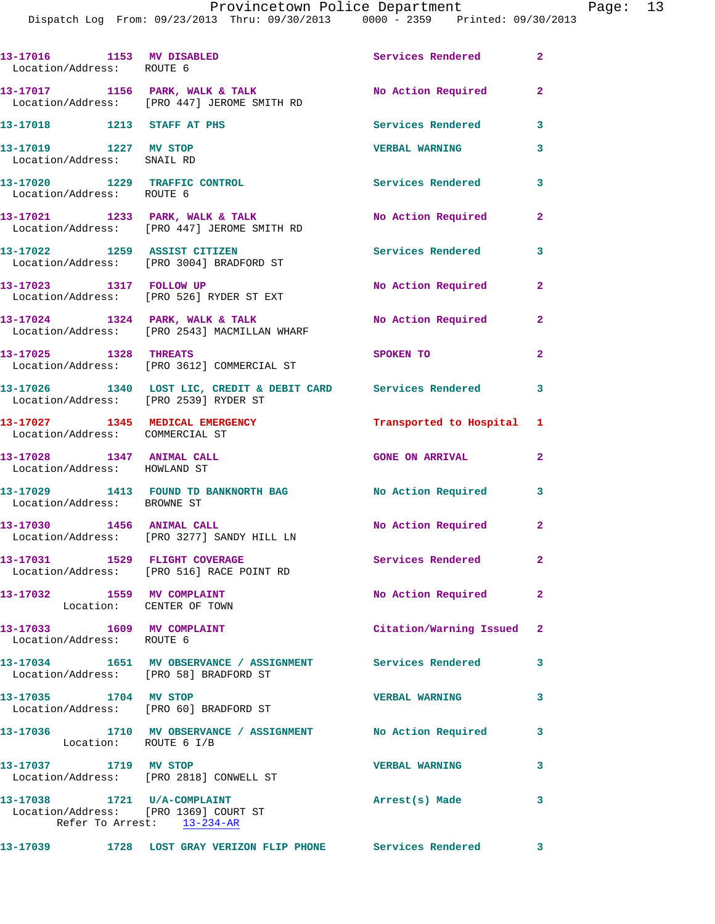| 13-17016 1153 MV DISABLED<br>Location/Address: ROUTE 6               |                                                                                                      | Services Rendered 2       |                         |
|----------------------------------------------------------------------|------------------------------------------------------------------------------------------------------|---------------------------|-------------------------|
|                                                                      | 13-17017 1156 PARK, WALK & TALK<br>Location/Address: [PRO 447] JEROME SMITH RD                       | No Action Required        | $\overline{2}$          |
| 13-17018 1213 STAFF AT PHS                                           |                                                                                                      | <b>Services Rendered</b>  | 3                       |
| 13-17019 1227 MV STOP<br>Location/Address: SNAIL RD                  |                                                                                                      | <b>VERBAL WARNING</b>     | 3                       |
| 13-17020 1229 TRAFFIC CONTROL<br>Location/Address: ROUTE 6           |                                                                                                      | Services Rendered         | 3                       |
|                                                                      | 13-17021 1233 PARK, WALK & TALK<br>Location/Address: [PRO 447] JEROME SMITH RD                       | No Action Required        | $\mathbf{2}$            |
|                                                                      | 13-17022 1259 ASSIST CITIZEN<br>Location/Address: [PRO 3004] BRADFORD ST                             | Services Rendered         | 3                       |
| 13-17023 1317 FOLLOW UP                                              | Location/Address: [PRO 526] RYDER ST EXT                                                             | No Action Required        | $\overline{a}$          |
|                                                                      | 13-17024 1324 PARK, WALK & TALK<br>Location/Address: [PRO 2543] MACMILLAN WHARF                      | No Action Required        | $\mathbf{2}$            |
| 13-17025 1328 THREATS                                                | Location/Address: [PRO 3612] COMMERCIAL ST                                                           | SPOKEN TO                 | $\overline{a}$          |
| Location/Address: [PRO 2539] RYDER ST                                | 13-17026 1340 LOST LIC, CREDIT & DEBIT CARD Services Rendered 3                                      |                           |                         |
| 13-17027 1345 MEDICAL EMERGENCY<br>Location/Address: COMMERCIAL ST   |                                                                                                      | Transported to Hospital 1 |                         |
| 13-17028 1347 ANIMAL CALL<br>Location/Address: HOWLAND ST            |                                                                                                      | <b>GONE ON ARRIVAL</b>    | $\overline{2}$          |
| Location/Address: BROWNE ST                                          | 13-17029 1413 FOUND TD BANKNORTH BAG No Action Required                                              |                           | 3                       |
| 13-17030 1456 ANIMAL CALL                                            | Location/Address: [PRO 3277] SANDY HILL LN                                                           | No Action Required 2      |                         |
| 13-17031                                                             | 1529 FLIGHT COVERAGE<br>Location/Address: [PRO 516] RACE POINT RD                                    | Services Rendered         | 2                       |
| 13-17032 1559 MV COMPLAINT<br>Location: CENTER OF TOWN               |                                                                                                      | No Action Required        | $\mathbf{2}$            |
| 13-17033 1609 MV COMPLAINT<br>Location/Address: ROUTE 6              |                                                                                                      | Citation/Warning Issued 2 |                         |
|                                                                      | 13-17034 1651 MV OBSERVANCE / ASSIGNMENT Services Rendered<br>Location/Address: [PRO 58] BRADFORD ST |                           | 3                       |
| 13-17035 1704 MV STOP                                                | Location/Address: [PRO 60] BRADFORD ST                                                               | <b>VERBAL WARNING</b>     | 3                       |
| Location: ROUTE 6 I/B                                                | 13-17036 1710 MV OBSERVANCE / ASSIGNMENT No Action Required                                          |                           | 3                       |
| 13-17037 1719 MV STOP                                                | Location/Address: [PRO 2818] CONWELL ST                                                              | <b>VERBAL WARNING</b>     | 3                       |
| 13-17038 1721 U/A-COMPLAINT<br>Location/Address: [PRO 1369] COURT ST | Refer To Arrest: 13-234-AR                                                                           | Arrest(s) Made            | 3                       |
|                                                                      | 13-17039 1728 LOST GRAY VERIZON FLIP PHONE Services Rendered                                         |                           | $\overline{\mathbf{3}}$ |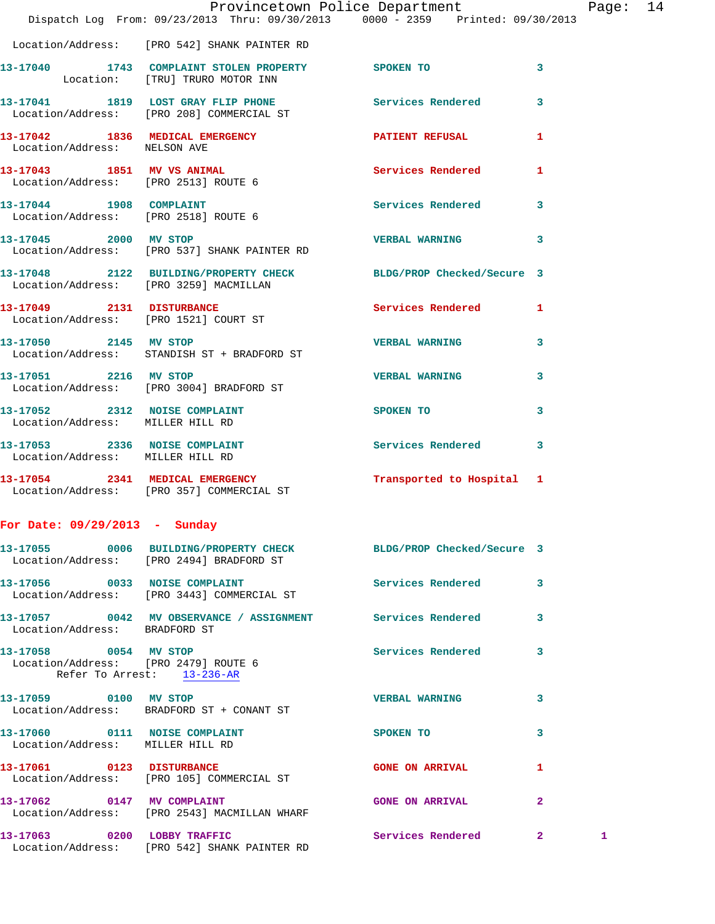|                                                                                             | Provincetown Police Department Page: 14<br>Dispatch Log From: 09/23/2013 Thru: 09/30/2013 0000 - 2359 Printed: 09/30/2013 |                          |              |   |  |
|---------------------------------------------------------------------------------------------|---------------------------------------------------------------------------------------------------------------------------|--------------------------|--------------|---|--|
|                                                                                             | Location/Address: [PRO 542] SHANK PAINTER RD                                                                              |                          |              |   |  |
|                                                                                             | 13-17040 1743 COMPLAINT STOLEN PROPERTY SPOKEN TO<br>Location: [TRU] TRURO MOTOR INN                                      |                          | 3            |   |  |
|                                                                                             | 13-17041 1819 LOST GRAY FLIP PHONE Services Rendered<br>Location/Address: [PRO 208] COMMERCIAL ST                         |                          | 3            |   |  |
| Location/Address: NELSON AVE                                                                | 13-17042 1836 MEDICAL EMERGENCY 1 PATIENT REFUSAL 1                                                                       |                          |              |   |  |
|                                                                                             | 13-17043 1851 MV VS ANIMAL 1888 Services Rendered 1<br>Location/Address: [PRO 2513] ROUTE 6                               |                          |              |   |  |
| 13-17044 1908 COMPLAINT                                                                     | Location/Address: [PRO 2518] ROUTE 6                                                                                      | Services Rendered 3      |              |   |  |
|                                                                                             | Location/Address: [PRO 537] SHANK PAINTER RD                                                                              |                          | 3            |   |  |
|                                                                                             | 13-17048 2122 BUILDING/PROPERTY CHECK BLDG/PROP Checked/Secure 3<br>Location/Address: [PRO 3259] MACMILLAN                |                          |              |   |  |
|                                                                                             | 13-17049 2131 DISTURBANCE<br>Location/Address: [PRO 1521] COURT ST                                                        | Services Rendered 1      |              |   |  |
|                                                                                             | 13-17050 2145 MV STOP<br>Location/Address: STANDISH ST + BRADFORD ST                                                      | <b>VERBAL WARNING</b>    | 3            |   |  |
|                                                                                             | 13-17051 2216 MV STOP<br>Location/Address: [PRO 3004] BRADFORD ST                                                         | <b>VERBAL WARNING</b>    | 3            |   |  |
| Location/Address: MILLER HILL RD                                                            | 13-17052 2312 NOISE COMPLAINT                                                                                             | SPOKEN TO                | 3            |   |  |
| Location/Address: MILLER HILL RD                                                            | 13-17053 2336 NOISE COMPLAINT                                                                                             | Services Rendered        | 3            |   |  |
|                                                                                             | 13-17054 2341 MEDICAL EMERGENCY Transported to Hospital 1<br>Location/Address: [PRO 357] COMMERCIAL ST                    |                          |              |   |  |
| For Date: 09/29/2013 - Sunday                                                               |                                                                                                                           |                          |              |   |  |
|                                                                                             | 13-17055 0006 BUILDING/PROPERTY CHECK BLDG/PROP Checked/Secure 3<br>Location/Address: [PRO 2494] BRADFORD ST              |                          |              |   |  |
|                                                                                             | 13-17056 0033 NOISE COMPLAINT<br>Location/Address: [PRO 3443] COMMERCIAL ST                                               | <b>Services Rendered</b> | 3            |   |  |
| Location/Address: BRADFORD ST                                                               | 13-17057 0042 MV OBSERVANCE / ASSIGNMENT Services Rendered                                                                |                          | 3            |   |  |
| 13-17058 0054 MV STOP<br>Location/Address: [PRO 2479] ROUTE 6<br>Refer To Arrest: 13-236-AR |                                                                                                                           | Services Rendered        | 3            |   |  |
|                                                                                             | 13-17059 0100 MV STOP<br>Location/Address: BRADFORD ST + CONANT ST                                                        | <b>VERBAL WARNING</b>    | 3            |   |  |
| 13-17060 0111 NOISE COMPLAINT<br>Location/Address: MILLER HILL RD                           |                                                                                                                           | SPOKEN TO                | 3            |   |  |
|                                                                                             | 13-17061 0123 DISTURBANCE<br>Location/Address: [PRO 105] COMMERCIAL ST                                                    | <b>GONE ON ARRIVAL</b>   | 1            |   |  |
|                                                                                             | 13-17062 0147 MV COMPLAINT<br>Location/Address: [PRO 2543] MACMILLAN WHARF                                                | <b>GONE ON ARRIVAL</b>   | $\mathbf{2}$ |   |  |
|                                                                                             | 13-17063 0200 LOBBY TRAFFIC<br>Location/Address: [PRO 542] SHANK PAINTER RD                                               | Services Rendered 2      |              | 1 |  |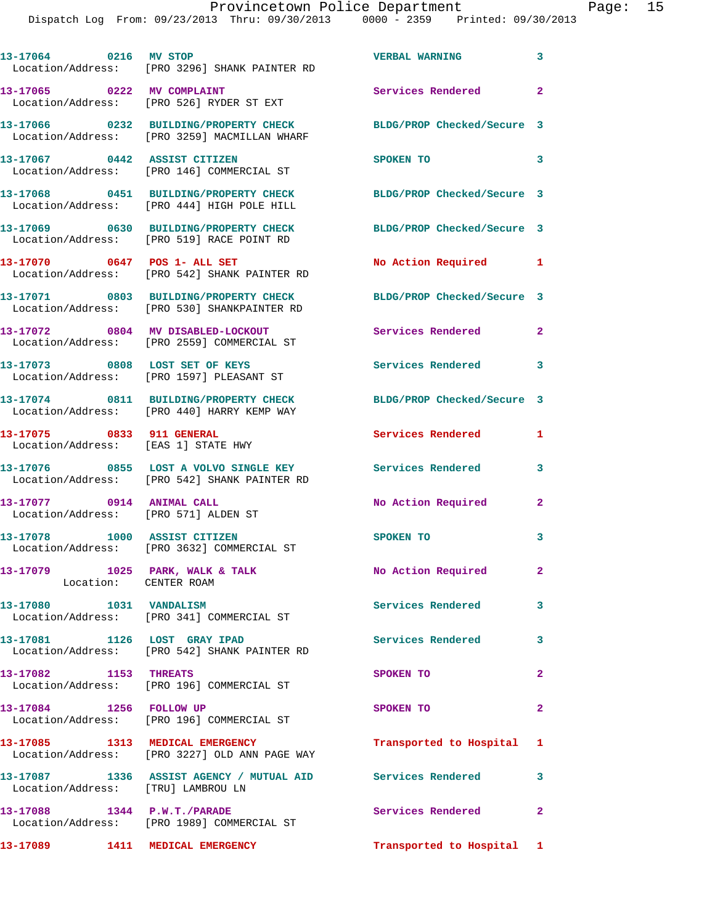| 13-17064 0216 MV STOP                                             | Location/Address: [PRO 3296] SHANK PAINTER RD                                                           | <b>VERBAL WARNING</b>      | $\mathbf{3}$   |
|-------------------------------------------------------------------|---------------------------------------------------------------------------------------------------------|----------------------------|----------------|
| 13-17065 0222 MV COMPLAINT                                        | Location/Address: [PRO 526] RYDER ST EXT                                                                | Services Rendered 2        |                |
|                                                                   | 13-17066 0232 BUILDING/PROPERTY CHECK<br>Location/Address: [PRO 3259] MACMILLAN WHARF                   | BLDG/PROP Checked/Secure 3 |                |
| 13-17067 0442 ASSIST CITIZEN                                      | Location/Address: [PRO 146] COMMERCIAL ST                                                               | SPOKEN TO                  | 3              |
|                                                                   | 13-17068 0451 BUILDING/PROPERTY CHECK<br>Location/Address: [PRO 444] HIGH POLE HILL                     | BLDG/PROP Checked/Secure 3 |                |
|                                                                   | 13-17069 0630 BUILDING/PROPERTY CHECK<br>Location/Address: [PRO 519] RACE POINT RD                      | BLDG/PROP Checked/Secure 3 |                |
|                                                                   | 13-17070 0647 POS 1- ALL SET<br>Location/Address: [PRO 542] SHANK PAINTER RD                            | No Action Required 1       |                |
|                                                                   | 13-17071 0803 BUILDING/PROPERTY CHECK<br>Location/Address: [PRO 530] SHANKPAINTER RD                    | BLDG/PROP Checked/Secure 3 |                |
|                                                                   | 13-17072 0804 MV DISABLED-LOCKOUT<br>Location/Address: [PRO 2559] COMMERCIAL ST                         | Services Rendered          | $\mathbf{2}$   |
| 13-17073 0808 LOST SET OF KEYS                                    | Location/Address: [PRO 1597] PLEASANT ST                                                                | Services Rendered          | 3              |
|                                                                   | 13-17074 0811 BUILDING/PROPERTY CHECK<br>Location/Address: [PRO 440] HARRY KEMP WAY                     | BLDG/PROP Checked/Secure 3 |                |
| 13-17075 0833 911 GENERAL<br>Location/Address: [EAS 1] STATE HWY  |                                                                                                         | Services Rendered          | 1              |
|                                                                   | 13-17076 0855 LOST A VOLVO SINGLE KEY Services Rendered<br>Location/Address: [PRO 542] SHANK PAINTER RD |                            | 3              |
| 13-17077 0914 ANIMAL CALL<br>Location/Address: [PRO 571] ALDEN ST |                                                                                                         | No Action Required         | $\mathbf{2}$   |
| 13-17078 1000 ASSIST CITIZEN                                      | Location/Address: [PRO 3632] COMMERCIAL ST                                                              | <b>SPOKEN TO</b>           | 3              |
| 13-17079 1025 PARK, WALK & TALK<br>Location: CENTER ROAM          |                                                                                                         | No Action Required         | $\mathbf{2}^-$ |
| 13-17080 1031 VANDALISM                                           | Location/Address: [PRO 341] COMMERCIAL ST                                                               | Services Rendered          | 3              |
| 13-17081 1126 LOST GRAY IPAD                                      | Location/Address: [PRO 542] SHANK PAINTER RD                                                            | Services Rendered          | 3              |
| 13-17082 1153 THREATS                                             | Location/Address: [PRO 196] COMMERCIAL ST                                                               | SPOKEN TO                  | $\mathbf{2}$   |
| 13-17084 1256 FOLLOW UP                                           | Location/Address: [PRO 196] COMMERCIAL ST                                                               | SPOKEN TO                  | $\mathbf{2}$   |
|                                                                   | 13-17085 1313 MEDICAL EMERGENCY<br>Location/Address: [PRO 3227] OLD ANN PAGE WAY                        | Transported to Hospital 1  |                |
| Location/Address: [TRU] LAMBROU LN                                | 13-17087 1336 ASSIST AGENCY / MUTUAL AID Services Rendered                                              |                            | 3              |
| 13-17088 1344 P.W.T./PARADE                                       | Location/Address: [PRO 1989] COMMERCIAL ST                                                              | Services Rendered 2        |                |
| 13-17089 1411 MEDICAL EMERGENCY                                   |                                                                                                         | Transported to Hospital 1  |                |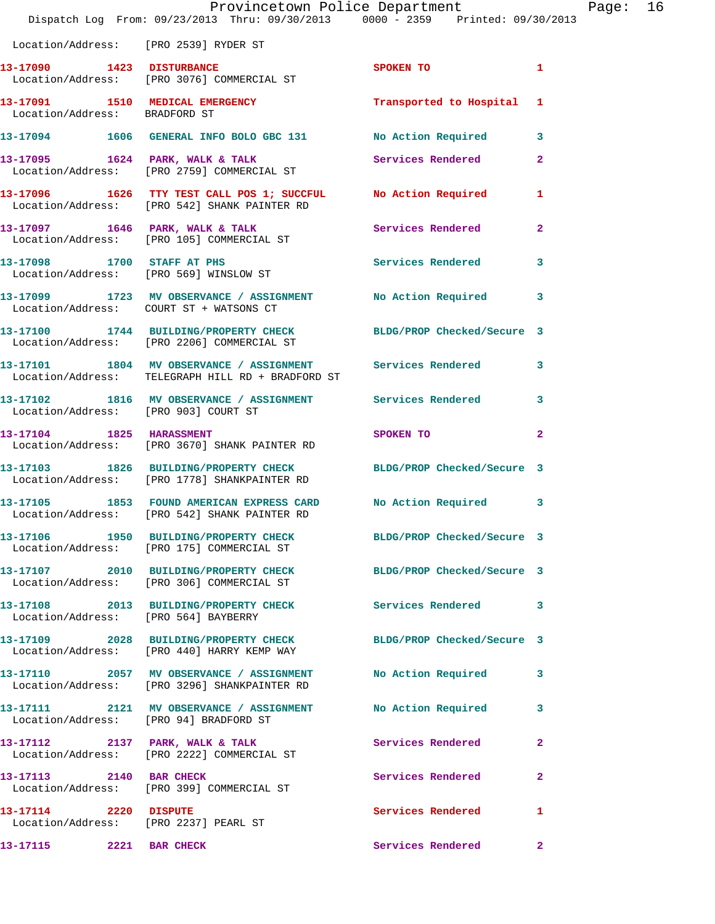|                                       | Dispatch Log From: 09/23/2013 Thru: 09/30/2013 0000 - 2359 Printed: 09/30/2013                                    | Provincetown Police Department |                | Page: 16 |  |
|---------------------------------------|-------------------------------------------------------------------------------------------------------------------|--------------------------------|----------------|----------|--|
| Location/Address: [PRO 2539] RYDER ST |                                                                                                                   |                                |                |          |  |
|                                       | 13-17090 1423 DISTURBANCE<br>Location/Address: [PRO 3076] COMMERCIAL ST                                           | SPOKEN TO                      | $\blacksquare$ |          |  |
| Location/Address: BRADFORD ST         | 13-17091 1510 MEDICAL EMERGENCY 1 Transported to Hospital 1                                                       |                                |                |          |  |
|                                       | 13-17094 1606 GENERAL INFO BOLO GBC 131 No Action Required 3                                                      |                                |                |          |  |
|                                       | 13-17095 1624 PARK, WALK & TALK 1988 Services Rendered<br>Location/Address: [PRO 2759] COMMERCIAL ST              |                                | $\mathbf{2}$   |          |  |
|                                       | 13-17096 1626 TTY TEST CALL POS 1; SUCCFUL No Action Required 1<br>Location/Address: [PRO 542] SHANK PAINTER RD   |                                |                |          |  |
|                                       | 13-17097 1646 PARK, WALK & TALK 1999 Services Rendered<br>Location/Address: [PRO 105] COMMERCIAL ST               |                                | $\mathbf{2}$   |          |  |
|                                       | 13-17098 1700 STAFF AT PHS<br>Location/Address: [PRO 569] WINSLOW ST                                              | Services Rendered 3            |                |          |  |
|                                       | 13-17099 1723 MV OBSERVANCE / ASSIGNMENT No Action Required 3<br>Location/Address: COURT ST + WATSONS CT          |                                |                |          |  |
|                                       | 13-17100 1744 BUILDING/PROPERTY CHECK BLDG/PROP Checked/Secure 3<br>Location/Address: [PRO 2206] COMMERCIAL ST    |                                |                |          |  |
|                                       | 13-17101 1804 MV OBSERVANCE / ASSIGNMENT Services Rendered 3<br>Location/Address: TELEGRAPH HILL RD + BRADFORD ST |                                |                |          |  |
| Location/Address: [PRO 903] COURT ST  | 13-17102 1816 MV OBSERVANCE / ASSIGNMENT Services Rendered                                                        |                                | 3              |          |  |
|                                       | 13-17104 1825 HARASSMENT<br>Location/Address: [PRO 3670] SHANK PAINTER RD                                         | SPOKEN TO                      | $\mathbf{2}$   |          |  |
|                                       | 13-17103 1826 BUILDING/PROPERTY CHECK BLDG/PROP Checked/Secure 3<br>Location/Address: [PRO 1778] SHANKPAINTER RD  |                                |                |          |  |
|                                       | 13-17105 1853 FOUND AMERICAN EXPRESS CARD No Action Required 3<br>Location/Address: [PRO 542] SHANK PAINTER RD    |                                |                |          |  |
|                                       | 13-17106 1950 BUILDING/PROPERTY CHECK BLDG/PROP Checked/Secure 3<br>Location/Address: [PRO 175] COMMERCIAL ST     |                                |                |          |  |
|                                       | 13-17107 2010 BUILDING/PROPERTY CHECK<br>Location/Address: [PRO 306] COMMERCIAL ST                                | BLDG/PROP Checked/Secure 3     |                |          |  |
| Location/Address: [PRO 564] BAYBERRY  | 13-17108 2013 BUILDING/PROPERTY CHECK Services Rendered 3                                                         |                                |                |          |  |
|                                       | 13-17109 2028 BUILDING/PROPERTY CHECK<br>Location/Address: [PRO 440] HARRY KEMP WAY                               | BLDG/PROP Checked/Secure 3     |                |          |  |
|                                       | 13-17110 2057 MV OBSERVANCE / ASSIGNMENT<br>Location/Address: [PRO 3296] SHANKPAINTER RD                          | No Action Required             | 3              |          |  |
|                                       | 13-17111  2121 MV OBSERVANCE / ASSIGNMENT  No Action Required<br>Location/Address: [PRO 94] BRADFORD ST           |                                | 3              |          |  |
|                                       | 13-17112 2137 PARK, WALK & TALK<br>Location/Address: [PRO 2222] COMMERCIAL ST                                     | Services Rendered              | 2              |          |  |
|                                       | 13-17113 2140 BAR CHECK<br>Location/Address: [PRO 399] COMMERCIAL ST                                              | Services Rendered              | $\mathbf{2}$   |          |  |
| 13-17114 2220 DISPUTE                 | Location/Address: [PRO 2237] PEARL ST                                                                             | Services Rendered              | 1              |          |  |
| 13-17115 2221 BAR CHECK               |                                                                                                                   | Services Rendered              | $\mathbf{2}$   |          |  |